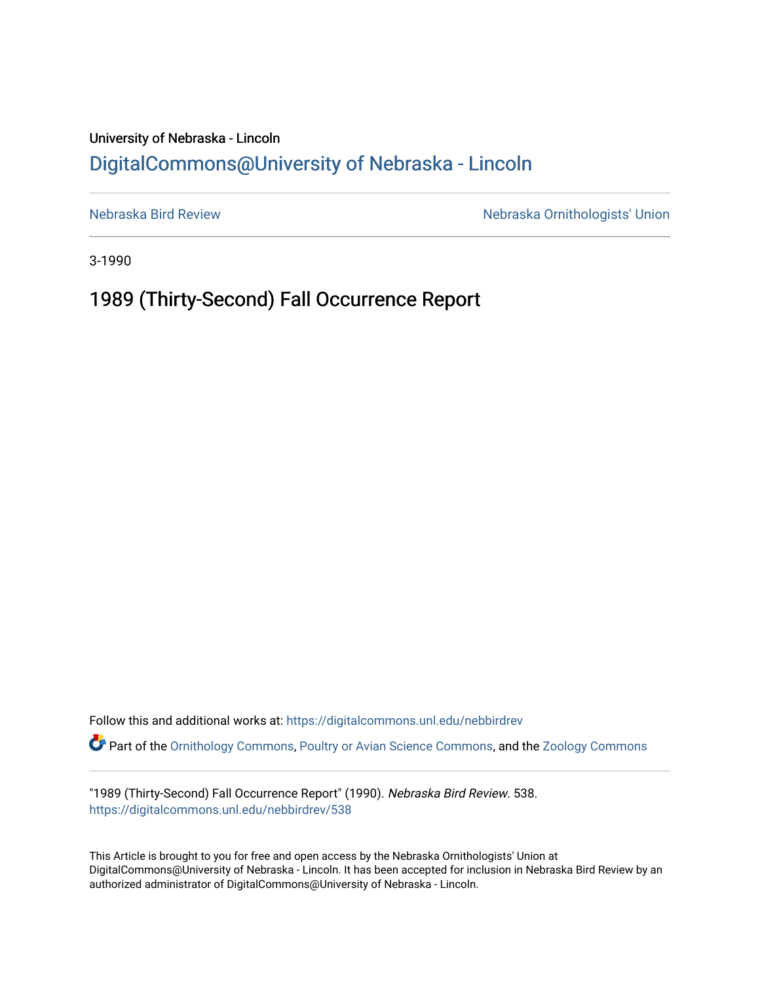## University of Nebraska - Lincoln [DigitalCommons@University of Nebraska - Lincoln](https://digitalcommons.unl.edu/)

[Nebraska Bird Review](https://digitalcommons.unl.edu/nebbirdrev) [Nebraska Ornithologists' Union](https://digitalcommons.unl.edu/nebornithologists) 

3-1990

## 1989 (Thirty-Second) Fall Occurrence Report

Follow this and additional works at: [https://digitalcommons.unl.edu/nebbirdrev](https://digitalcommons.unl.edu/nebbirdrev?utm_source=digitalcommons.unl.edu%2Fnebbirdrev%2F538&utm_medium=PDF&utm_campaign=PDFCoverPages) Part of the [Ornithology Commons,](http://network.bepress.com/hgg/discipline/1190?utm_source=digitalcommons.unl.edu%2Fnebbirdrev%2F538&utm_medium=PDF&utm_campaign=PDFCoverPages) [Poultry or Avian Science Commons](http://network.bepress.com/hgg/discipline/80?utm_source=digitalcommons.unl.edu%2Fnebbirdrev%2F538&utm_medium=PDF&utm_campaign=PDFCoverPages), and the [Zoology Commons](http://network.bepress.com/hgg/discipline/81?utm_source=digitalcommons.unl.edu%2Fnebbirdrev%2F538&utm_medium=PDF&utm_campaign=PDFCoverPages) 

"1989 (Thirty-Second) Fall Occurrence Report" (1990). Nebraska Bird Review. 538. [https://digitalcommons.unl.edu/nebbirdrev/538](https://digitalcommons.unl.edu/nebbirdrev/538?utm_source=digitalcommons.unl.edu%2Fnebbirdrev%2F538&utm_medium=PDF&utm_campaign=PDFCoverPages)

This Article is brought to you for free and open access by the Nebraska Ornithologists' Union at DigitalCommons@University of Nebraska - Lincoln. It has been accepted for inclusion in Nebraska Bird Review by an authorized administrator of DigitalCommons@University of Nebraska - Lincoln.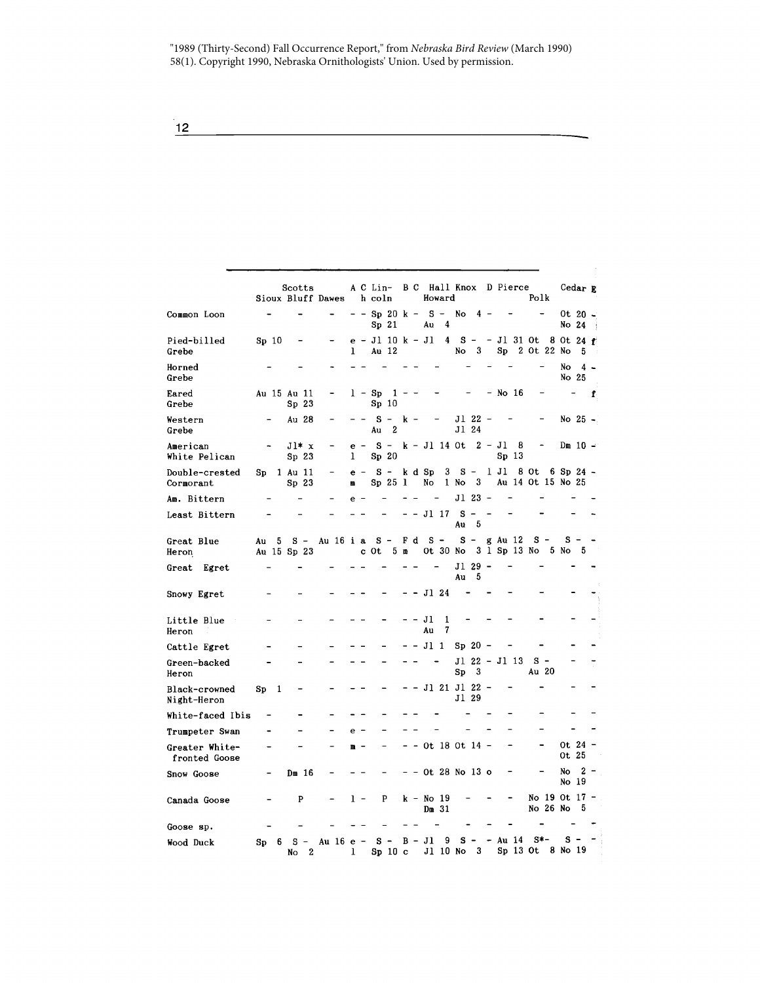"1989 (Thirty-Second) Fall Occurrence Report," from *Nebraska Bird Review* (March 1990) 58(1). Copyright 1990, Nebraska Ornithologists' Union. Used by permission.

|                                 |       |   | Scotts                          | Sioux Bluff Dawes |   |       | A C Lin-<br>h coln               |                |     |    | B C Hall Knox D Pierce<br>Howard |        |                 |                    |         |                         | Polk                       |          |                                  | Cedar R   |   |
|---------------------------------|-------|---|---------------------------------|-------------------|---|-------|----------------------------------|----------------|-----|----|----------------------------------|--------|-----------------|--------------------|---------|-------------------------|----------------------------|----------|----------------------------------|-----------|---|
| Common Loon                     |       |   |                                 |                   |   |       | - Sp 20 k -<br>Sp 21             |                |     |    | $S -$<br>Au                      | 4      | No              | 4 -                |         |                         |                            |          | No 24                            | Ot 20 -   |   |
| Pied-billed<br>Grebe            | Sp 10 |   |                                 |                   | ı |       | e - Jl 10 k - Jl<br><b>Au 12</b> |                |     |    |                                  | 4      | $s -$<br>No     | 3                  | Sp      |                         | - Jl 31 Ot<br>2 Ot 22 No   |          | 8 Ot 24 $f$                      | 5         |   |
| Horned<br>Grebe                 |       |   |                                 |                   |   |       |                                  |                |     |    |                                  |        |                 |                    |         |                         |                            |          | No<br>No 25                      | $4 -$     |   |
| Eared<br>Grebe                  |       |   | Au 15 Au 11<br>Sp <sub>23</sub> |                   |   |       | $l - Sp$<br>Sp <sub>10</sub>     | 1              |     |    |                                  |        |                 |                    | - No 16 |                         |                            |          |                                  |           | f |
| Western<br>Grebe                |       |   | Au 28                           |                   |   |       | $S -$<br>Au                      | 2              | k – |    |                                  |        | J1 24           | Jl 22              |         |                         |                            |          |                                  | No 25 -   |   |
| American<br>White Pelican       |       |   | $J1* x$<br>Sp <sub>23</sub>     |                   | 1 | $e -$ | $S -$<br>Sp <sub>20</sub>        |                |     |    | k - Jl 14 Ot                     |        |                 | $2 - J1$           |         | - 8<br>Sp <sub>13</sub> |                            |          |                                  | $Dm 10 -$ |   |
| Double-crested<br>Cormorant     | Sp    |   | 1 Au 11<br>Sp <sub>23</sub>     |                   | Щ | $e -$ | $S -$<br>Sp 25 1                 |                |     |    | k d Sp<br>No                     | 3      | 1 No            | $S -$<br>3         | 1 Jl    |                         | 8 Ot                       |          | 6 Sp 24 $-$<br>Au 14 Ot 15 No 25 |           |   |
| Am. Bittern                     |       |   |                                 |                   | e |       |                                  |                |     |    |                                  |        |                 | Jl 23              |         |                         |                            |          |                                  |           |   |
| Least Bittern                   |       |   |                                 |                   |   |       |                                  |                |     |    | - Jl 17                          |        | S.<br>Au        | 5                  |         |                         |                            |          |                                  |           |   |
| Great Blue<br>Heron             | Au    | 5 | s –<br>Au 15 Sp 23              | Au 16 i a         |   |       | $S -$<br>c Ot                    | 5 <sub>m</sub> |     | Fd | $s -$                            |        | Ot 30 No        | $S -$              |         | g Au 12                 | $s -$<br>3 1 Sp 13 No 5 No |          | $s -$                            | - 5       |   |
| Egret<br>Great                  |       |   |                                 |                   |   |       |                                  |                |     |    |                                  |        | Au              | Jl 29 -<br>5       |         |                         |                            |          |                                  |           |   |
| Snowy Egret                     |       |   |                                 |                   |   |       |                                  |                |     |    | Jl 24                            |        |                 |                    |         |                         |                            |          |                                  |           |   |
| Little Blue<br>Heron            |       |   |                                 |                   |   |       |                                  |                |     |    | Jl<br>Au                         | 1<br>7 |                 |                    |         |                         |                            |          |                                  |           |   |
| Cattle Egret                    |       |   |                                 |                   |   |       |                                  |                |     |    | $JI_1$                           |        |                 | $Sp 20 -$          |         |                         |                            |          |                                  |           |   |
| Green-backed<br>Heron           |       |   |                                 |                   |   |       |                                  |                |     |    |                                  |        | Sp              | Jl 22 - Jl 13<br>3 |         |                         | $S -$<br>Au 20             |          |                                  |           |   |
| Black-crowned<br>Night-Heron    | Sp    | 1 |                                 |                   |   |       |                                  |                |     |    | - Jl 21 Jl 22 -                  |        | Jl 29           |                    |         |                         |                            |          |                                  |           |   |
| White-faced Ibis                |       |   |                                 |                   |   |       |                                  |                |     |    |                                  |        |                 |                    |         |                         |                            |          |                                  |           |   |
| Trumpeter Swan                  |       |   |                                 |                   | e |       |                                  |                |     |    |                                  |        |                 |                    |         |                         |                            |          |                                  |           |   |
| Greater White-<br>fronted Goose |       |   |                                 |                   | m |       |                                  |                |     |    | ot 18 ot 14 -                    |        |                 |                    |         |                         |                            |          | Ot 25                            | Ot $24 -$ |   |
| Snow Goose                      |       |   | Dm 16                           |                   |   |       |                                  |                |     |    | Ot 28 No 13 o                    |        |                 |                    |         |                         |                            |          | No<br>No 19                      | 2         |   |
| Canada Goose                    |       |   | P                               |                   |   | 1 -   | P                                |                |     |    | $k - No$ 19<br>$Dm$ 31           |        |                 |                    |         |                         |                            | No 26 No | No 19 Ot 17 -                    | 5         |   |
| Goose sp.                       |       |   |                                 |                   |   |       |                                  |                |     |    |                                  |        |                 |                    |         |                         |                            |          |                                  |           |   |
| Wood Duck                       | Sp    | 6 | s<br>$\overline{2}$<br>No       | Au 16 e -         | ı |       | s -<br>Sp 10 c                   |                |     |    | $B - Jl$                         | 9      | s -<br>J1 10 No | $_{3}$             | - Au 14 |                         | S*-                        |          | s<br>Sp 13 Ot 8 No 19            |           |   |

 $\frac{12}{1}$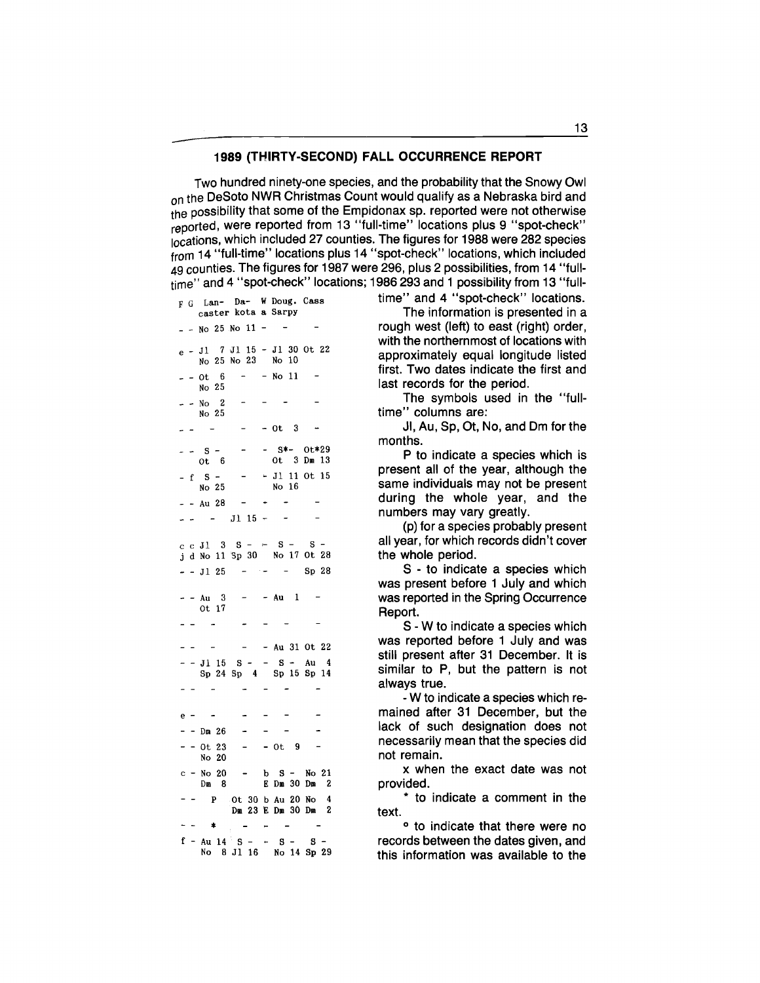## **1989 (THIRTY-SECOND) FALL OCCURRENCE REPORT**

Two hundred ninety-one species, and the probability that the Snowy Owl on the DeSoto NWR Christmas Count would qualify as a Nebraska bird and the possibility that some of the Empidonax sp. reported were not otherwise reported, were reported from 13 "full-time" locations plus 9 "spot-check" locations, which included 27 counties. The figures for 1988 were 282 species from 14 "full-time" locations plus 14 "spot-check" locations, which included 49 counties. The figures for 1987 were 296, plus 2 possibilities, from 14 "fulltime" and 4 "spot-check" locations; 1986 293 and 1 possibility from 13 "full-

e - Jl 7 Jl 15 - Jl 30 Ot 22 No 25 No 23 No 10  $- - 0t + 6 - -$ No 11 No 25  $-$  - No 2 No 25  $\equiv$  $-$  Ot 3  $\overline{\phantom{a}}$ - S\*- Ot\*29 - - s - Ot 6 Ot 3 Dm 13 -  $f$   $S$  -• Jl 11 Ot 15 No 25 No 16  $- -$  Au 28  $\sim$   $- -$  Jl 15 - $\sim$  $\overline{a}$ c c J1  $3$   $S - S S$ j d No 11 Sp 30 No 17 Ot 28  $J1$  25 ساد سا  $\overline{a}$ Sp 28 - Au 1  $-$  - Au 3 Ot 17 - Au 31 Ot 22  $-$  J1 15 S  $-$  S  $-$  Au 4 Sp 24 Sp 4 Sp 15 Sp 14 e -  $-$  Dm 26  $\ddot{\phantom{a}}$  $- - 0t 23$  $-$  Ot 9 No 20 c - No 20 b S - No 21 Dm 8 E Dm 30 Dm 2 p Ot 30 b Au 20 No 4  $-$ Dm 23 E Dm 30 Dm 2  $-$ -- \* - - - -<br>f - Au 14 S - - S - S -No 8 Jl 16 No 14 Sp 29

F G Lan- Da- W Doug. Cass time" and 4 "spot-check" locations.

caster kota a Sarpy The information is presented in a  $2.5$  No 11 -  $-$  rough west (left) to east (right) order, with the northernmost of locations with approximately equal longitude listed first. Two dates indicate the first and last records for the period.

> The symbols used in the "fulltime" columns are:

> JI, Au, Sp, Ot, No, and Om for the months.

P to indicate a species which is present all of the year, although the same individuals may not be present during the whole year, and the numbers may vary greatly.

(p) for a species probably present all year, for which records didn't cover the whole period.

S - to indicate a species which was present before 1 July and which was reported in the Spring Occurrence Report.

S - W to indicate a species which was reported before 1 July and was still present after 31 December. It is similar to P, but the pattern is not always true.

- W to indicate a species which remained after 31 December, but the lack of such designation does not necessarily mean that the species did not remain.

x when the exact date was not provided.

\* to indicate a comment in the text.

<sup>o</sup> to indicate that there were no records between the dates given, and this information was available to the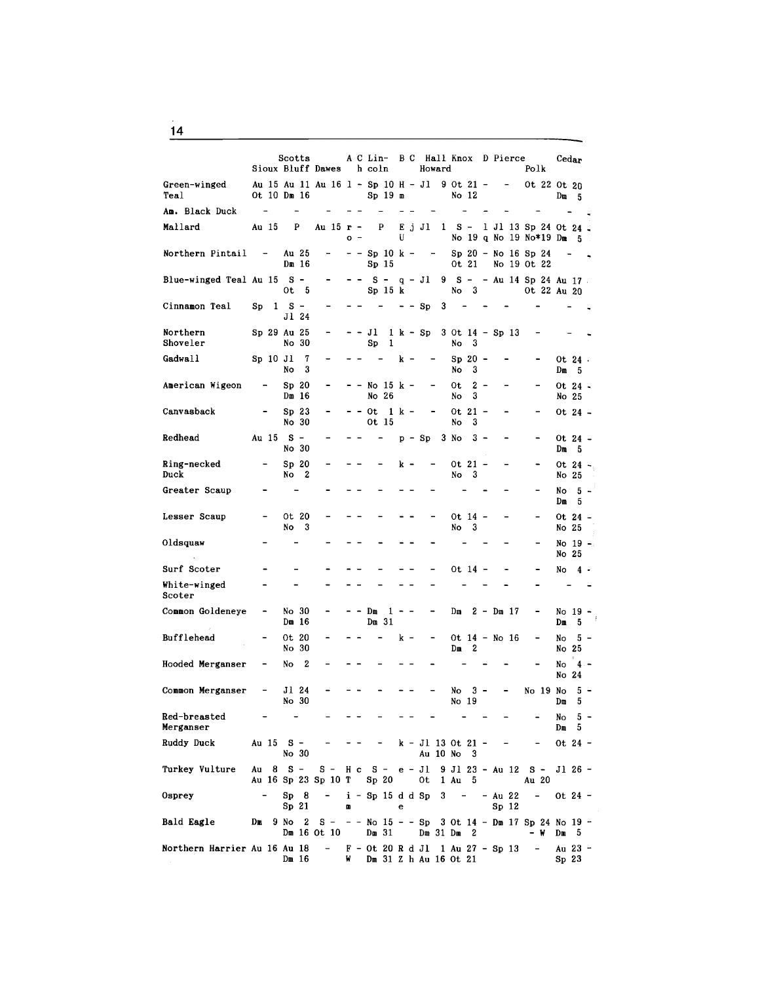|                              |    |                              | Scotts  |                             | Sioux Bluff Dawes                                                               |   |     | h coln                 |                  |         | A C Lin- B C Hall Knox D Pierce<br>Howard |   |            |                    |       |             |                                      | Polk   | Cedar                       |                 |  |
|------------------------------|----|------------------------------|---------|-----------------------------|---------------------------------------------------------------------------------|---|-----|------------------------|------------------|---------|-------------------------------------------|---|------------|--------------------|-------|-------------|--------------------------------------|--------|-----------------------------|-----------------|--|
| Green-winged<br>Teal         |    | Ot 10 Dm 16                  |         |                             | Au 15 Au 11 Au 16 1 - Sp 10 H - J1 9 Ot 21 -                                    |   |     | $Sp 19$ m              |                  |         |                                           |   |            | No 12              |       |             | $\overline{\phantom{a}}$             |        | Ot 22 Ot 20                 | $Dm = 5$        |  |
| Am. Black Duck               |    | $\overline{\phantom{a}}$     |         |                             |                                                                                 |   |     |                        |                  |         |                                           |   |            |                    |       |             |                                      |        |                             |                 |  |
| Mallard                      |    | Au 15                        |         | P                           | Au 15 r -                                                                       |   | o - |                        | P                | U       | E j Jl 1 S - 1 Jl 13 Sp 24 Ot 24          |   |            |                    |       |             |                                      |        | No 19 q No 19 No*19 Dm 5    |                 |  |
| Northern Pintail             |    | $\sim$ $ \sim$               |         | Au 25<br>Dm 16              | Ξ.                                                                              |   |     | Sp <sub>15</sub>       |                  |         | --Sp 10 k --                              |   |            | 0t 21              |       |             | $Sp 20 - No 16 Sp 24$<br>No 19 Ot 22 |        |                             |                 |  |
| Blue-winged Teal Au 15 S -   |    |                              |         | $0t\quad 5$                 |                                                                                 |   |     |                        | Sp 15 k          |         | -- S - q - Jl 9 S -- Au 14 Sp 24 Au 17.   |   |            | No <sub>3</sub>    |       |             |                                      |        | Ot 22 Au 20                 |                 |  |
| Cinnamon Teal                | Sp |                              | $1 S -$ | Jl 24                       |                                                                                 |   |     |                        | $\sim$ 100 $\mu$ |         | $- - Sp$                                  | 3 |            |                    |       |             |                                      |        |                             |                 |  |
| Northern<br>Shoveler         |    | Sp 29 Au 25                  |         | No 30                       |                                                                                 |   |     | - - Jl<br>Sp           | 1                |         | 1 k - Sp 3 Ot 14 - Sp 13                  |   | No         | - 3                |       |             |                                      |        |                             |                 |  |
| Gadwall                      |    | Sp 10 Jl                     | No      | 7<br>3                      |                                                                                 |   |     |                        |                  | k –     | -                                         |   | No         | $Sp 20 -$<br>3     |       |             |                                      |        | $Dm = 5$                    | Ot 24.          |  |
| American Wigeon              |    |                              |         | Sp <sub>20</sub><br>$Dm$ 16 |                                                                                 |   |     | - - No 15 k -<br>No 26 |                  |         |                                           |   | 0t<br>No   | 3                  | 2 -   |             |                                      |        | No 25                       | Ot 24 -         |  |
| Canvasback                   |    |                              |         | Sp <sub>23</sub><br>No 30   |                                                                                 |   |     | - - Ot<br>0t 15        | 1 k –            |         |                                           |   | No         | Ot 21 -<br>3       |       |             |                                      |        |                             | Ot 24 –         |  |
| Redhead                      |    | Au 15 S -                    |         | No 30                       |                                                                                 |   |     |                        |                  |         | $p - Sp = 3$ No                           |   |            | - 3 -              |       |             |                                      |        | $Dm = 5$                    | Ot 24 -         |  |
| Ring-necked<br>Duck          |    |                              | No      | Sp 20<br>- 2                |                                                                                 |   |     |                        |                  | k -     |                                           |   | No         | $0t 21 -$<br>3     |       |             |                                      |        | No 25                       | Ot 24 -         |  |
| Greater Scaup                |    |                              |         |                             |                                                                                 |   |     |                        |                  |         |                                           |   |            |                    |       |             |                                      |        | $Dm = 5$                    | $No = 5 -$      |  |
| Lesser Scaup                 |    |                              | No      | Ot 20<br>3                  |                                                                                 |   |     |                        |                  |         |                                           |   | No         | Ot 14 -<br>3       |       |             |                                      |        | No 25                       | Ot 24 –         |  |
| Oldsquaw                     |    |                              |         |                             |                                                                                 |   |     |                        |                  |         |                                           |   |            |                    |       |             |                                      |        | No 25                       | No 19 -         |  |
| Surf Scoter                  |    |                              |         |                             |                                                                                 |   |     |                        |                  |         |                                           |   |            | $0t$ 14 -          |       |             |                                      |        |                             | $No \quad 4 -$  |  |
| White-winged<br>Scoter       |    |                              |         |                             |                                                                                 |   |     |                        |                  |         |                                           |   |            |                    |       |             |                                      |        |                             |                 |  |
| Common Goldeneye             |    | -                            |         | No 30<br>Dm 16              |                                                                                 |   |     | Dm<br>$Dm$ 31          |                  | $1 - -$ |                                           |   | Dm         |                    |       | $2 - Dm$ 17 |                                      |        |                             | No 19 -<br>Dm 5 |  |
| Bufflehead                   |    |                              |         | Ot 20<br>No 30              |                                                                                 |   |     |                        |                  | k –     |                                           |   | Dш         | Ot 14 - No 16<br>2 |       |             |                                      |        | No<br>No 25                 | $5 -$           |  |
| Hooded Merganser             |    |                              | No      | 2                           |                                                                                 |   |     |                        |                  |         |                                           |   |            |                    |       |             |                                      |        | No<br>No 24                 | $4 -$           |  |
| Common Merganser             |    | $\qquad \qquad \blacksquare$ |         | Jl 24<br>No 30              |                                                                                 |   |     |                        |                  |         |                                           |   | No         | No 19              | $3 -$ |             |                                      |        | No 19 No<br>Dm              | 5 –             |  |
| Red-breasted<br>Merganser    |    |                              |         |                             |                                                                                 |   |     |                        |                  |         |                                           |   |            |                    |       |             |                                      |        | Dm. 5                       | $No = 5 -$      |  |
| Ruddy Duck                   |    | Au 15 S -                    |         | No 30                       |                                                                                 |   |     |                        |                  |         | $k - J1$ 13 Ot 21 -                       |   | Au 10 No 3 |                    |       |             |                                      |        | $0t$ 24 -                   |                 |  |
| Turkey Vulture               |    | Au 8 S –                     |         |                             | $S - H c S - e - J1 9 J1 23 - Au 12 S -$<br>Au 16 Sp 23 Sp 10 T Sp 20 0t 1 Au 5 |   |     |                        |                  |         |                                           |   |            |                    |       |             |                                      | Au 20  | J1 26 -                     |                 |  |
| Osprey                       |    |                              |         | Sp 8<br>Sp 21               | - i - Sp 15 d d Sp 3 - - Au 22 -                                                | n |     |                        |                  | e       |                                           |   |            |                    |       |             | Sp <sub>12</sub>                     |        | $0t$ 24 -                   |                 |  |
| Bald Eagle                   |    |                              |         |                             | Dm 9 No 2 S - - - No $15 - -$ Sp 3 Ot $14 -$ Dm 17 Sp 24 No 19 -<br>Dm 16 Ot 10 |   |     | Dm 31                  |                  |         | Dm $31$ Dm $2$                            |   |            |                    |       |             |                                      | – W    | $Dm = 5$                    |                 |  |
| Northern Harrier Au 16 Au 18 |    |                              |         |                             | $- F - 0t 20 R d J1 1 Au 27 - Sp 13$<br>Dm 16 W Dm 31 Z h Au 16 Ot 21           |   |     |                        |                  |         |                                           |   |            |                    |       |             |                                      | $\sim$ | Au 23 -<br>Sp <sub>23</sub> |                 |  |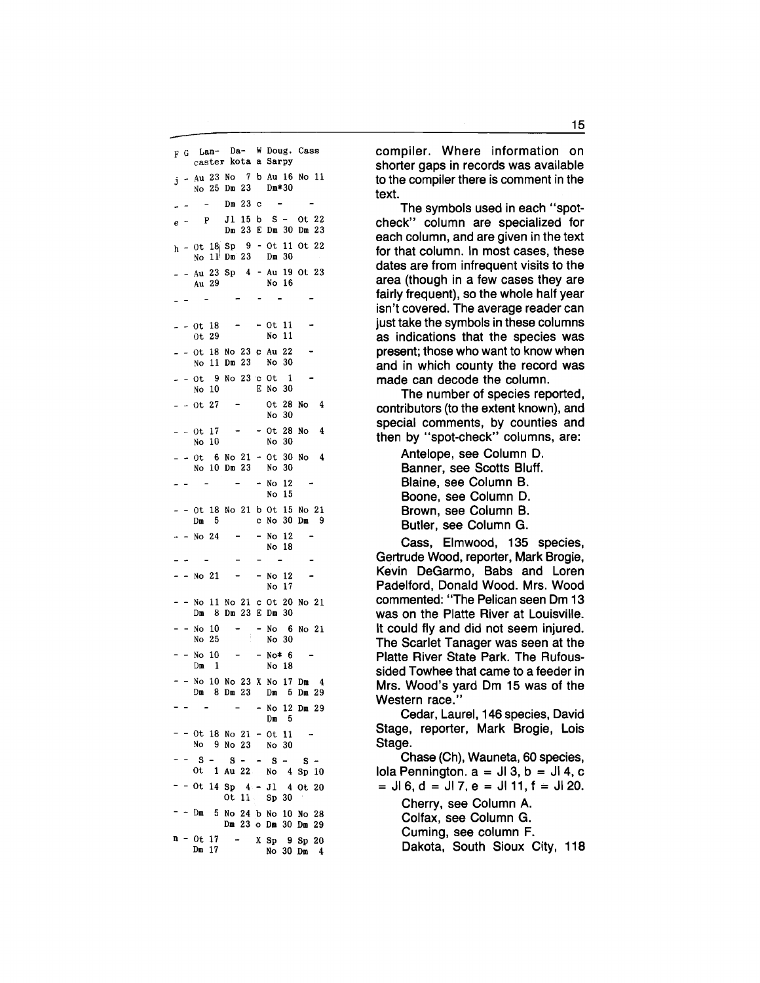F G Lan- Da- W Doug. Cass caster kota a Sarpy  $j$  - Au 23 No 7 b Au 16 No 11 No 25 Dm 23 Dm\*30 Dm 23 c e - <sup>p</sup>Jl 15 b S - Ot 22 Dm 23 E Dm 30 Dm 23  $h - 0t$  18 Sp 9 - 0t 11 Ot 22 No 11 Dm 23 Dm 30 \_ - Au 23 Sp 4 - Au 19 Ot 23 Au 29 No 16  $\sim$  $\sim$  $- -0t$  18  $- -0t$  11 No 11 Ot 29  $-$  - Ot 18 No 23 c Au 22 No 11 Dm 23 No 30  $- - 0t$  9 No 23 c Ot 1 No 10 E No 30 Ot 28 No 4  $- - 0t 27 - -$ No 30  $-$  Ot 28 No 4  $= -0t$  17 No 10 No 30  $- -0t$  6 No 21 - 0t 30 No 4 No 10 Dm 23 No 30  $\sim$   $\sim$  $\sim$  $-$  No 12 No 15 - - Ot 18 No 21 b Ot 15 No 21 Dm 5 c No 30 Dm 9 - No 12  $-$  No 24 No 18  $\sim$  $\sim$  $\sim$  $\sim$  $\sim$ - - No 21 - - No 12 No 17 - - No 11 No 21 c Ot 20 No 21 Dm 8 Dm 23 E Dm 30  $- -$  No 10  $\sim$ - No 6 No 21 No 30 No 25  $- -$  No  $10 - - -$  No  $*$  6 Dm 1 No 18  $-$  No 10 No 23 X No 17 Dm 4 Dm 8 Dm 23 Dm 5 Dm 29  $\sim$ - No 12 Dm 29  $Dm = 5$  $-$  Ot 18 No 21  $-$  Ot 11 No 9 No 23 No 30  $S - S - S - S - S - S -$ Ot 1 Au 22 No 4 Sp 10  $-$  - Ot 14 Sp 4 - Jl 4 Ot 20 Ot 11 Sp 30 - - Dm 5 No 24 b No 10 No 28 Dm 23 o Dm 30 Dm 29  $n - 0t 17$  $- X Sp 9 Sp 20$ Dm 17 No 30 Dm 4

compiler. Where information on shorter gaps in records was available to the compiler there is comment in the text.

The symbols used in each "spotcheck" column are specialized for each column, and are given in the text for that column. In most cases, these dates are from infrequent visits to the area (though in a few cases they are fairly frequent), so the whole half year isn't covered. The average reader can just take the symbols in these columns as indications that the species was present; those who want to know when and in which county the record was made can decode the column.

The number of species reported, contributors (to the extent known), and special comments, by counties and then by "spot-check" columns, are:

> Antelope, see Column D. Banner, see Scotts Bluff. Blaine, see Column B. Boone, see Column D. Brown, see Column B. Butler, see Column G.

Cass, Elmwood, 135 species, Gertrude Wood, reporter, Mark Brogie, Kevin DeGarmo, Babs and Loren Padelford, Donald Wood. Mrs. Wood commented: "The Pelican seen Om 13 was on the Platte River at Louisville. It could fly and did not seem injured. The Scarlet Tanager was seen at the Platte River State Park. The Rufoussided Towhee that came to a feeder in Mrs. Wood's yard Om 15 was of the Western race."

Cedar, Laurel, 146 species, David Stage, reporter, Mark Brogie, Lois Stage.

Chase (Ch), Wauneta, 60 species, Iola Pennington.  $a = J13$ ,  $b = J14$ , c  $=$  JI 6, d = JI 7, e = JI 11, f = JI 20. Cherry, see Column A.

Colfax, see Column G. Cuming, see column F. Dakota, South Sioux City, 118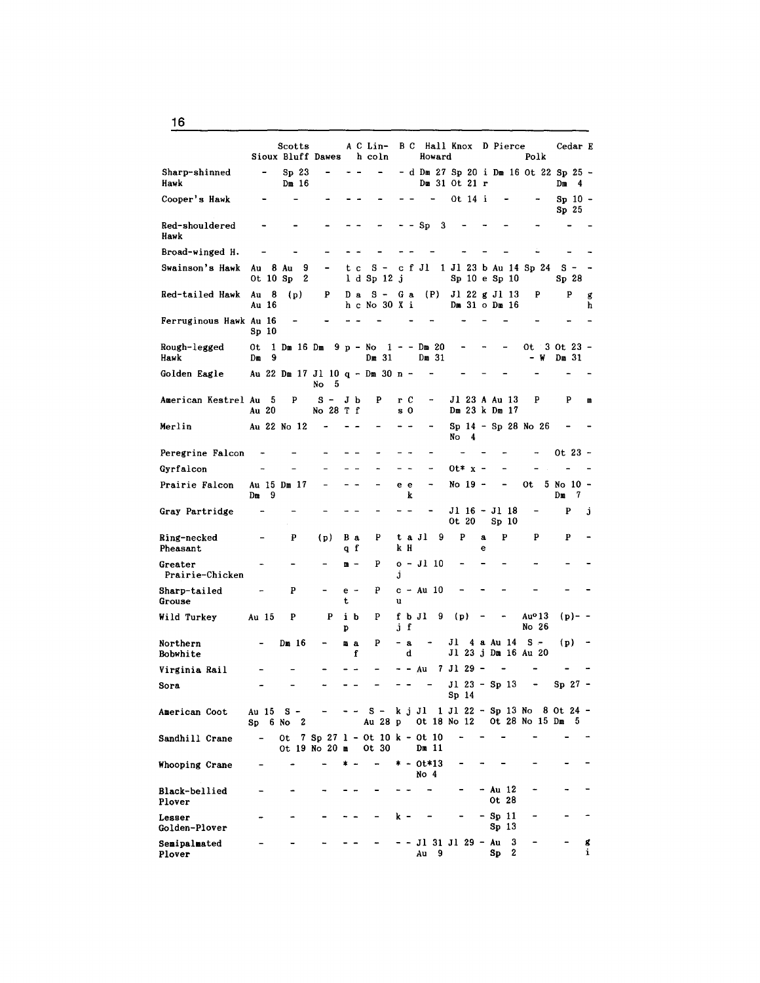Scotts A C Lin- B C Hall Knox D Pierce Cedar E<br>
Right Dawes h coln Howard Polk Sioux Bluff Dawes Sharp-shinned - Sp 23 - - - - d Dm 27 Sp 20 i Dm 16 Ot 22 Sp 25 -<br>Hawk Dm 16 Dm 16 Dm 31 Ot 21 r Dm 4 Cooper's Hawk  $-$  0t 14 i  $-$  Sp 10  $-$ Sp 25  $Red-shouldered$  - - - - - - - Sp 3  $\overline{a}$ Hawk Broad-winged H.  $\overline{a}$  $\sim$ ÷. Swainson's Hawk Au 8 Au 9 - t c S - c f Jl 1 Jl 23 b Au 14 Sp 24 S - -<br>Ot 10 Sp 2 1 d Sp 12 j Sp 10 e Sp 10 Sp 28 Red-tailed Hawk Au 8 (p) P D a S - G a (P) J1 22 g J1 13 P P g<br>Au 16 h c No 30 X i Dm 31 o Dm 16 h  $h$  c No 30 X i Ferruginous Hawk Au 16  $\sim$   $\sim$  $\overline{a}$ Sp 10 Rough-legged Ot 1 Dm 16 Dm 9 p - No 1 - - Dm 20 - - - Ot 3 Ot 23 -<br>
Hawk Dm 9 - No 1 - Dm 31 - - - W Dm 31  $H$ awk Dm 9 Dm 31 Dm 31 - w Dm 31 - W Dm 31 Golden Eagle Au 22 Dm 17 Jl 10 q - Dm 30 n - No 5 American Kestrel Au 5 P S - J b P r C - J l 23 A Au 13<br>Au 20 No 28 T f s 0 Dm 23 k Dm 17 Dm 23 k Dm 17 Merlin Au 22 No  $12 - - - - - - -$  Sp  $14 -$  Sp 28 No 26 No 4 Peregrine Falcon Ot 23 - Gyrfalcon  $-$  - - - - - - - 0t\* x - $\overline{\phantom{a}}$ Prairie Falcon Au 15 Dm 17 - - - - e e - No 19 - - Ot 5 No 10 - - Dm 9  $Dm$  9 k  $Dm$  7 Gray Partridge Jl 16 Jl 18 p j Sp 10 Ring-necked p (p) B a <sup>p</sup>t a Jl 9 <sup>p</sup>a p p p  $\overline{\phantom{a}}$ Pheasant q f k H e Greater  $\cdots$  - -  $\cdots$  -  $\cdots$   $\cdots$   $\cdots$   $\cdots$   $\cdots$   $\cdots$   $\cdots$   $\cdots$   $\cdots$  $\overline{\phantom{a}}$ Prairie-Chicken j Sharp-tailed  $-P$  - e -  $P$  c - Au 10  $\overline{\phantom{a}}$ Grouse the unit of the unit of the unit of the unit of the unit of the unit of the unit of the unit of the unit of the unit of the unit of the unit of the unit of the unit of the unit of the unit of the unit of the unit of Wild Turkey Au 15 P P i b P f b Jl 9 (p) - - Au<sup>0</sup> 13 (p) - -<br>p j f No 26 p j f No 26 Northern - Dm 16 - m a  $P$  - a - Jl 4 a Au 14 S - (p) -<br>Bobwhite f d Jl 23 j Dm 16 Au 20 Jl 23 j Dm 16 Au 20 Virginia Rail - - Au Jl 29 -  $\overline{a}$  $\overline{a}$  $\sim$ Sora Jl 23 - Sp 13 Sp 27 - Sp 14 American Coot Au 15 S - - - - S - k j Jl 1 Jl 22 - Sp 13 No 8 Ot 24 -Sp 6 No 2 Au 28 p Ot 18 No 12 Ot 28 No 15 Dm 5 Sandhill Crane - 0t 7 Sp 27 1 - 0t 10 k - 0t 10<br>0t 19 No 20 m 0t 30 Dm 11 Ot  $19$  No  $20$  m Whooping Crane  $*$   $*$   $*$   $-$  0t\*13  $\overline{\phantom{a}}$ No 4 Black-bellied - - - - - - - - - - Au 12<br>Plover 0t 28  $\overline{\phantom{a}}$ Plover 0t 28 Lesser  $- - - - - - - k - - - - -$  Sp 11 Golden-Plover Sp 13 Semipalmated - - - - - - Jl 31 Jl 29 - Au 3 - - g<br>Plover - - - - - - Au 9 Sp 2 i Plover Au 9 Sp 2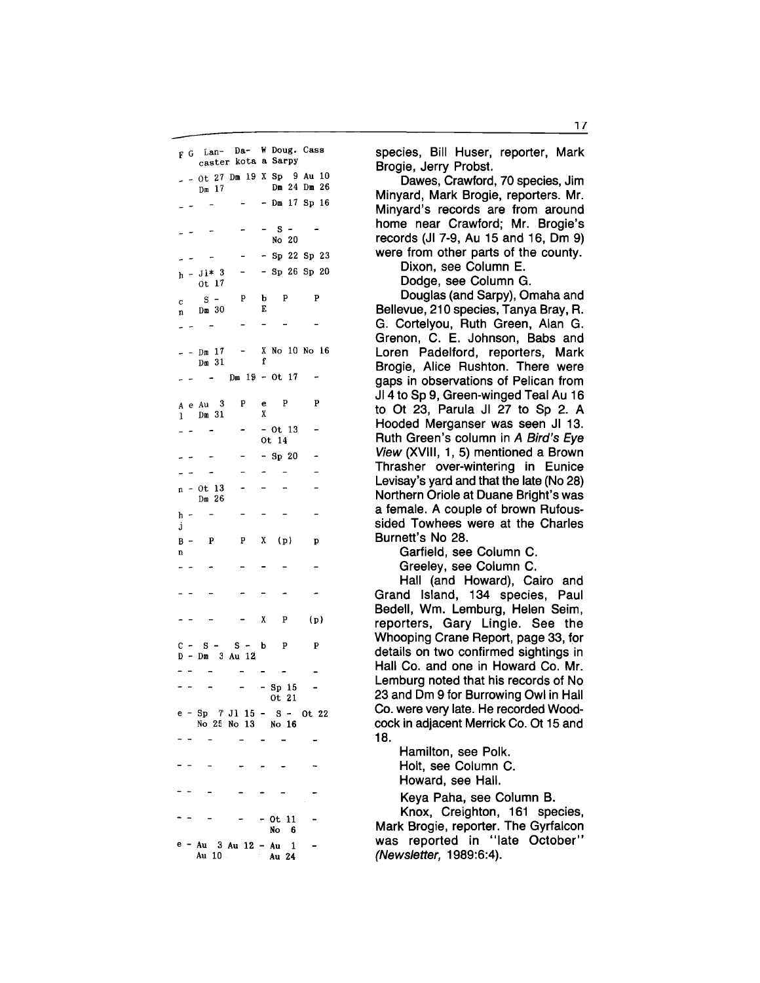F G Lan- Da- W Doug. Cass caster kota a Sarpy  $-$  0t 27 Dm 19 X Sp 9 Au 10 Dm 17 Dm 24 Dm 26 - Dm 17 Sp 16  $s -$ No 20 - Sp 22 Sp 23 - Sp 26 Sp 20  $h - J1* 3$ Qt 17  $s$ p b p p c Dm 30 E n  $\overline{a}$ X No 10 No 16  $-$  - Dm 17 f Dm 31  $\hat{\mathcal{L}}$  $Dm 19 - Ot 17$  $\sim$   $\sim$  $A$  e Au  $3$  P e P P<br>  $\frac{1}{1}$  Dm 31 X 1 Dm 31 - Ot 13  $\overline{a}$ Ot 14 - Sp 20  $\overline{a}$  $n - 0t$  13  $\overline{a}$ Dm 26  $\,$  h  $\,$ j  $B - P$  P  $X (p)$  p n  $\overline{a}$  $X$  P (p)  $C - S - S - b$  p p p D - Dm 3 Au <sup>121</sup> - Sp 15  $\overline{\phantom{a}}$ Ot 21 e - Sp *1* Jl 15 - S - Ot 22 No 25 No 13 No 16 0t 11 No 6 e - Au 3 Au 12 - Au 1 Au 24

species, Bill Huser, reporter, Mark Brogie, Jerry Probst.

Dawes, Crawford, 70 species, Jim Minyard, Mark Brogie, reporters. Mr. Minyard's records are from around home near Crawford; Mr. Brogie's records (JI 7-9, Au 15 and 16, Dm 9) were from other parts of the county.

> Dixon, see Column E. Dodge, see Column G.

Douglas (and Sarpy), Omaha and Bellevue, 210 species, Tanya Bray, R. G. Cortelyou, Ruth Green, Alan G. Grenon, C. E. Johnson, Babs and Loren Padelford, reporters, Mark Brogie, Alice Rushton. There were gaps in observations of Pelican from JI 4 to Sp 9, Green-winged Teal Au 16 to Ot 23, Parula JI 27 to Sp 2. A Hooded Merganser was seen JI 13. Ruth Green's column in A Bird's Eye View (XVIII, 1, 5) mentioned a Brown Thrasher over-wintering in Eunice Levisay's yard and that the late (No 28) Northern Oriole at Duane Bright's was a female. A couple of brown Rufoussided Towhees were at the Charles Burnett's No 28.

Garfield, see Column C.

Greeley, see Column C.

Hall (and Howard), Cairo and Grand Island, 134 species, Paul Bedell, Wm. Lemburg, Helen Seim, reporters, Gary Lingle. See the Whooping Crane Report, page 33, for details on two confirmed sightings in Hall Co. and one in Howard Co. Mr. Lemburg noted that his records of No 23 and Dm 9 for Burrowing Owl in Hall Co. were very late. He recorded Woodcock in adjacent Merrick Co. Ot 15 and 18.

> Hamilton, see Polk. Holt, see Column C. Howard, see Hall.

Keya Paha, see Column B.

Knox, Creighton, 161 species, Mark Brogie, reporter. The Gyrfalcon was reported in "late October" (Newsletter, 1989:6:4).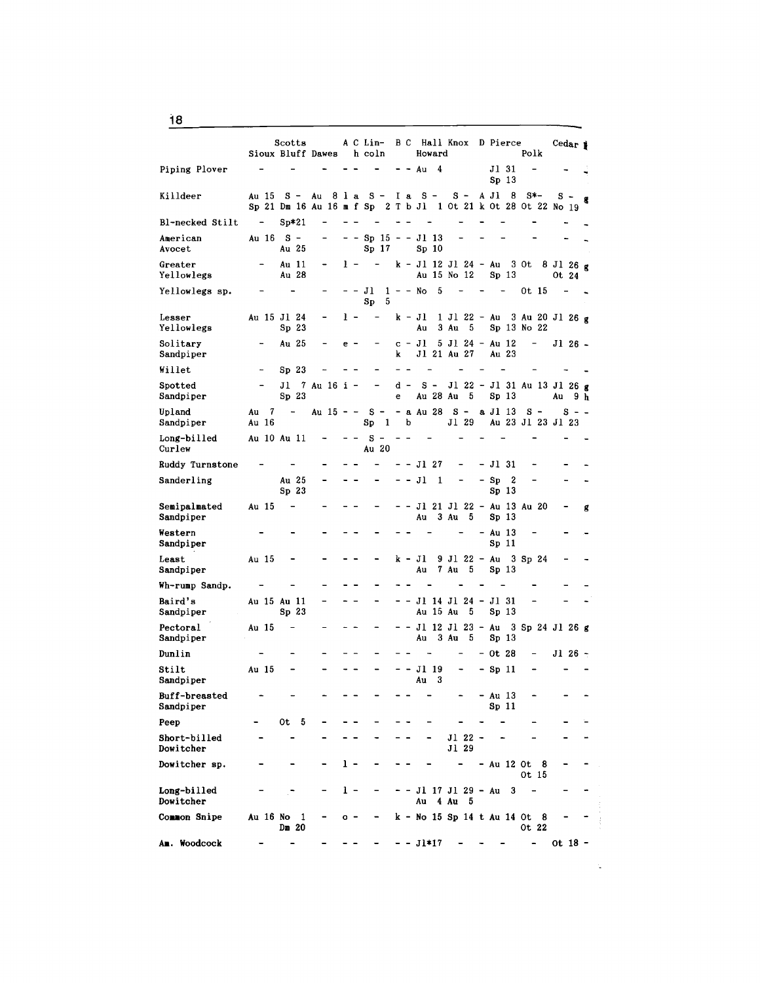|                                    |             | Scotts<br>Sioux Bluff Dawes                |             |     | A C Lin-<br>h coln                      |                          | B C                      |                | Howard     | Hall Knox                                     |   | D Pierce                    | Polk                           | Cedar 1              |   |
|------------------------------------|-------------|--------------------------------------------|-------------|-----|-----------------------------------------|--------------------------|--------------------------|----------------|------------|-----------------------------------------------|---|-----------------------------|--------------------------------|----------------------|---|
| Piping Plover                      |             |                                            |             |     |                                         |                          |                          | Au             | 4          |                                               |   | Jl 31<br>Sp <sub>13</sub>   |                                |                      |   |
| Killdeer                           | Au 15       | $s -$<br>Sp 21 Dm 16 Au 16 m f Sp 2 T b Jl | Au<br>81a   |     | $S -$                                   |                          | I a                      | $S -$          |            | $s -$<br>1 Ot 21 k Ot 28 Ot 22 No 19          |   | 8<br>A Jl                   | $s*-$                          | s -                  | g |
| Bl-necked Stilt                    |             | $Sp*21$                                    |             |     |                                         |                          |                          |                |            |                                               |   |                             |                                |                      |   |
| American<br>Avocet                 | Au 16       | $S -$<br>Au 25                             |             |     | Sp <sub>15</sub><br>Sp 17               | $\overline{\phantom{0}}$ |                          | - Jl 13        | Sp 10      |                                               |   |                             |                                |                      |   |
| Greater<br>Yellowlegs              |             | Au 11<br>Au 28                             |             | 1 - |                                         |                          |                          |                |            | k - Jl 12 Jl 24 - Au<br>Au 15 No 12           |   | Sp <sub>13</sub>            | 3 Ot                           | $8$ J1 26 g<br>Ot 24 |   |
| Yellowlegs sp.                     |             |                                            |             |     | JI<br>5<br>Sp                           |                          |                          | $1 - -$ No     | 5          |                                               |   |                             | Ot 15                          |                      |   |
| Lesser<br>Yellowlegs               |             | Au 15 Jl 24<br>Sp <sub>23</sub>            |             | ı - |                                         |                          |                          | $k - J1$<br>Au |            | 1 Jl 22 - Au<br>3 Au<br>5                     |   |                             | 3 Au 20 Jl 26 g<br>Sp 13 No 22 |                      |   |
| Solitary<br>Sandpiper              |             | Au 25                                      |             | e - |                                         | k                        |                          | c – Jl         |            | 5 Jl 24 - Au 12<br>Jl 21 Au 27                |   | Au 23                       | -                              | Jl 26 -              |   |
| Willet                             |             | Sp <sub>23</sub>                           |             |     |                                         |                          |                          |                |            |                                               |   |                             |                                |                      |   |
| Spotted<br>Sandpiper               |             | Jl<br>Sp <sub>23</sub>                     | 7 Au 16 i - |     |                                         | d<br>е                   | $\overline{\phantom{0}}$ |                | $s -$      | J1 22<br>Au 28 Au<br>- 5                      |   | Sp <sub>13</sub>            | $-$ J1 31 Au 13 J1 26 g        | Au<br>9 h            |   |
| Upland                             | 7<br>Au     | $\overline{\phantom{a}}$                   | Au 15 - -   |     | $S -$                                   |                          |                          | - a Au 28      |            | $S -$                                         |   | a Jl 13                     | s -                            | s - -                |   |
| Sandpiper<br>Long-billed<br>Curlew | Au 16       | Au 10 Au 11                                |             |     | $\mathbf{1}$<br>Sp<br>s<br><b>Au 20</b> |                          | b                        |                |            | Jl 29                                         |   |                             | Au 23 Jl 23 Jl 23              |                      |   |
|                                    |             |                                            |             |     |                                         |                          |                          | - Jl 27        |            |                                               |   | - Jl 31                     |                                |                      |   |
| Ruddy Turnstone<br>Sanderling      |             | Au 25<br>Sp <sub>23</sub>                  |             |     |                                         |                          |                          | Jl             | 1          |                                               | - | Sp<br>2<br>Sp <sub>13</sub> |                                |                      |   |
| Semipalmated<br>Sandpiper          | Au 15       |                                            |             |     |                                         |                          |                          | Au             |            | J1 21 J1 22 - Au 13 Au 20<br>3 Au<br>5        |   | Sp 13                       |                                |                      | g |
| Western<br>Sandpiper               |             |                                            |             |     |                                         |                          |                          |                |            |                                               |   | - Au 13<br>Sp 11            |                                |                      |   |
| Least<br>Sandpiper                 | Au 15       |                                            |             |     |                                         |                          |                          | k - Jl<br>Au   |            | 9 Jl 22 - Au<br>7 Au<br>5                     |   | Sp <sub>13</sub>            | 3 Sp 24                        |                      |   |
| Wh-rump Sandp.                     |             |                                            |             |     |                                         |                          |                          |                |            |                                               |   |                             |                                |                      |   |
| Baird's<br>Sandpiper               | Au 15 Au 11 | Sp <sub>23</sub>                           |             |     |                                         |                          |                          |                |            | J1 14 J1 24 - J1 31<br>Au 15 Au<br>5          |   | Sp 13                       |                                |                      |   |
| Pectoral<br>Sandpiper              | Au 15       |                                            |             |     |                                         |                          |                          | Au             |            | J1 12 J1 23 - Au 3 Sp 24 J1 26 g<br>3 Au<br>5 |   | Sp 13                       |                                |                      |   |
| Dunlin                             |             |                                            |             |     |                                         |                          |                          |                |            |                                               |   | - Ot 28                     | -                              | $J126 -$             |   |
| Stilt<br>Sandpiper                 | Au 15       |                                            |             |     |                                         |                          |                          | Au             | J1 19<br>3 |                                               |   | - Sp 11                     |                                |                      |   |
| Buff-breasted<br>Sandpiper         |             |                                            |             |     |                                         |                          |                          |                |            |                                               |   | - Au 13<br>Sp <sub>11</sub> |                                |                      |   |
| Peep                               |             | 0t.<br>- 5                                 |             |     |                                         |                          |                          |                |            |                                               |   |                             |                                |                      |   |
| Short-billed<br>Dowitcher          |             |                                            |             |     |                                         |                          |                          |                |            | J1 22<br>J1 29                                |   |                             |                                |                      |   |
| Dowitcher sp.                      |             |                                            |             | 1 - |                                         |                          |                          |                |            |                                               |   | - Au 12 Ot                  | - 8<br>Ot 15                   |                      |   |
| Long-billed<br>Dowitcher           |             |                                            |             | 1 - |                                         |                          | - -                      | Au             |            | Jl 17 Jl 29 - Au<br>4 Au<br>5                 |   | 3                           |                                |                      |   |
| Common Snipe                       | Au 16 No    | 1<br>Dm 20                                 |             | o - |                                         |                          |                          |                |            | k - No 15 Sp 14 t Au 14 Ot                    |   |                             | - 8<br>Ot 22                   |                      |   |
| Am. Woodcock                       |             |                                            |             |     |                                         |                          |                          | - - Jl*17      |            |                                               |   |                             | $\blacksquare$                 | ot 18 -              |   |

 $\mathcal{L}_{\mathbf{r}}$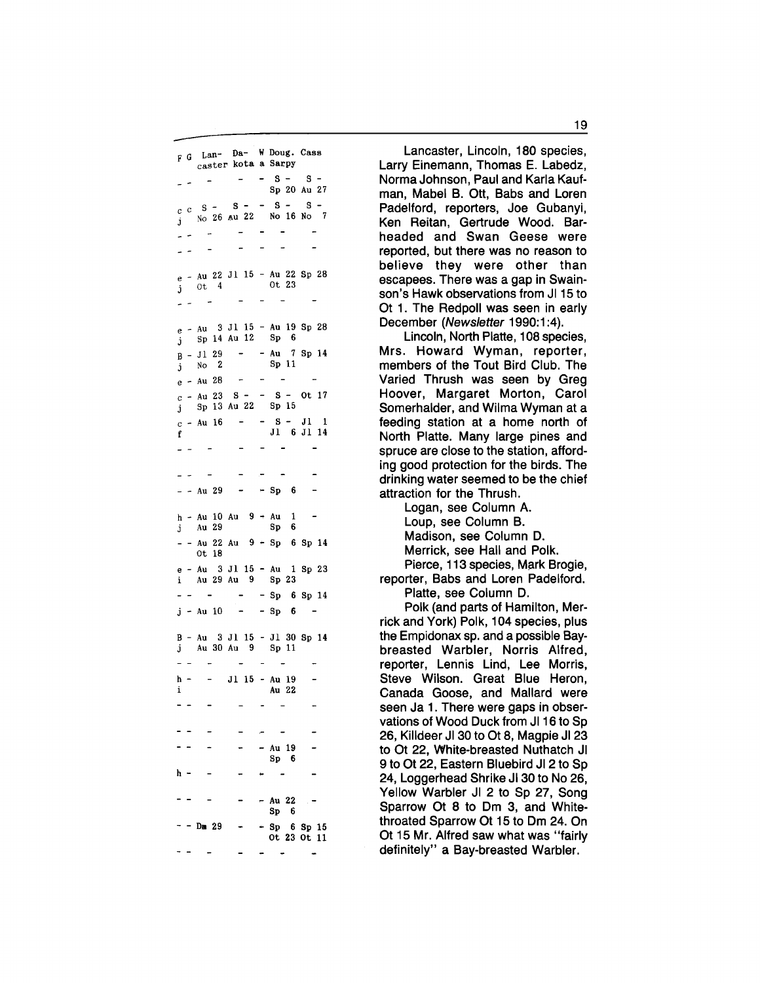F G Lan- Da- W Doug. Cass caster kota a Sarpy  $-$  s - s -Sp 20 Au 27  $c \ c \ S - S - S - S - S - S$  $j$  No 26 Au 22 No 16 No 7  $\sim$  $\sim$  $-$  Au 22 Jl 15 - Au 22 Sp 28<br>0t 4 0t 23  $j$  0t 4 e - Au 3 Jl 15 - Au 19 Sp 28  $j$  Sp 14 Au 12 Sp 6  $B - J1 29 - Au 7 Sp 14$ <br>  $B - N0 2$   $Sp 11$ Sp 11  $\mathbf{i}$ e - Au 28 **Contract Contract**  $\sim$  $c - Au$  23 S - - S - Ot 17 j Sp 13 Au 22 Sp 15  $c - Au$  16 - - S - J1 1 f J1 6 J1 14  $- Au 29 - - Sp 6$  $h - Au$  10 Au 9 + Au 1 j Au 29 Sp 6 - - Au 22 Au 9 - Sp 6 Sp 14 Ot 18 e - Au 3 Jl 15 - Au 1 Sp 23 Au 29 Au 9 Sp 23  $Sp$  6 Sp 14  $\overline{a}$   $\overline{a}$  $j - Au$  10 - - Sp 6 B - Au 3 Jl 15 - Jl 30 Sp 14 Au 30 Au 9 Sp 11  $\blacksquare$  $h - -$  J1 15 - Au 19<br>i Au 22  $\overline{a}$ Au 22 - Au 19 Sp 6 h -  $\overline{\phantom{a}}$ - Au 22 Sp 6  $-$  Sp 6 Sp 15 Dm 29 Ot 23 Ot 11

Lancaster, Lincoln, 180 species, Larry Einemann, Thomas E. Labedz, Norma Johnson, Paul and Karla Kaufman, Mabel B. Ott, Babs and Loren Padelford, reporters, Joe Gubanyi, Ken Reitan, Gertrude Wood. Barheaded and Swan Geese were reported, but there was no reason to believe they were other than escapees. There was a gap in Swainson's Hawk observations from JI 15 to Ot 1. The Redpoll was seen in early December (Newsletter 1990:1:4).

Lincoln, North Platte, 108 species, Mrs. Howard Wyman, reporter, members of the Tout Bird Club. The Varied Thrush was seen by Greg Hoover, Margaret Morton, Carol Somerhalder, and Wilma Wyman at a feeding station at a home north of North Platte. Many large pines and spruce are close to the station, affording good protection for the birds. The drinking water seemed to be the chief attraction for the Thrush.

Logan, see Column A. Loup, see Column B. Madison, see Column D. Merrick, see Hall and Polk. Pierce, 113 species, Mark Brogie,

reporter, Babs and Loren Padelford. Platte, see Column D.

Polk (and parts of Hamilton, Merrick and York) Polk, 104 species, plus the Empidonax sp. and a possible Baybreasted Warbler, Norris Alfred, reporter, Lennis Lind, Lee Morris, Steve Wilson. Great Blue Heron, Canada Goose, and Mallard were seen Ja 1. There were gaps in observations of Wood Duck from JI 16 to Sp 26, Killdeer JI 30 to Ot 8, Magpie JI 23 to Ot 22, White-breasted Nuthatch JI 9 to Ot 22, Eastern Bluebird JI 2 to Sp 24, Loggerhead Shrike JI 30 to No 26, Yellow Warbler JI 2 to Sp 27, Song Sparrow Ot 8 to Om 3, and Whitethroated Sparrow Ot 15 to Om 24. On Ot 15 Mr. Alfred saw what was "fairly definitely" a Bay-breasted Warbler.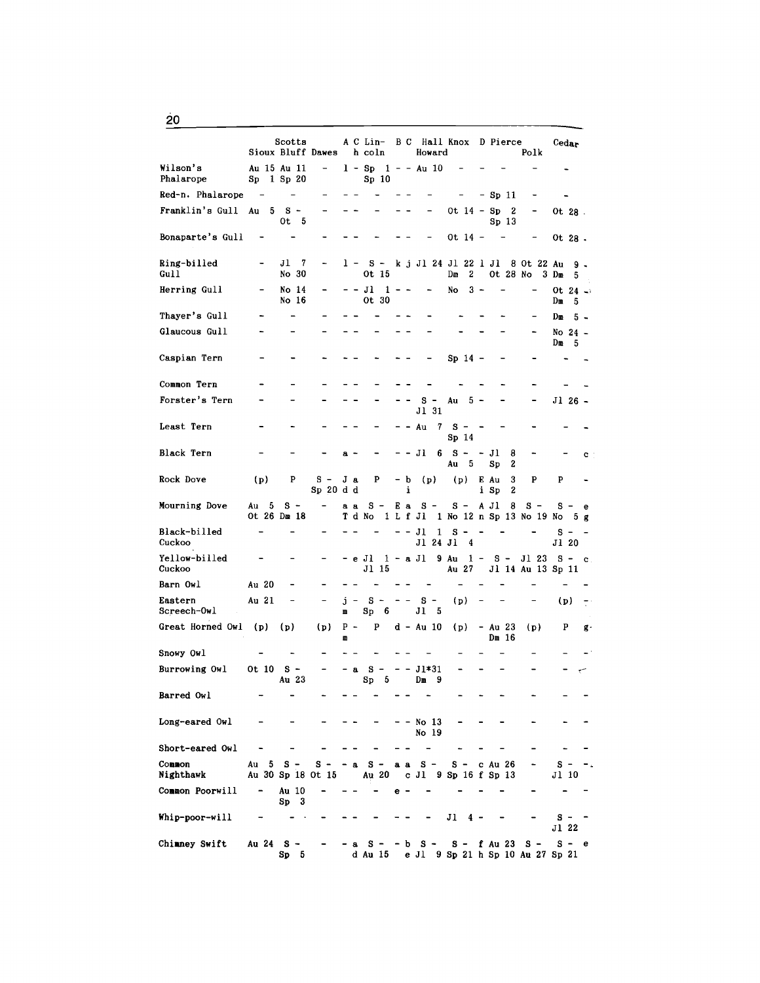Scotts A C Lin- B C Hall Knox D Pierce Cedar<br>Bluff Dawes h coln Howard Polk Sioux Bluff Dawes Wilson's Au 15 Au 11  $1 - Sp$   $1 - -Au$  10  $\ddot{\phantom{a}}$ Phalarope Sp 1 Sp 20 Sp 10 Red-n. Phalarope - Sp 11  $\overline{\phantom{a}}$  $\sim$   $\sim$  $\ddot{\phantom{a}}$  $\frac{1}{2}$  $\overline{\phantom{a}}$  $\blacksquare$  $\ddot{\phantom{a}}$ Franklin's Gull Au 5 S - Ot 14 - Sp 2  $\overline{a}$ Ot 28 . Ot 5 Sp 13 Bonaparte's Gull Ot 14 -  $\overline{a}$  $\overline{a}$ Ot 28 .  $l - S - k j Jl 24 Jl 22 l Jl 8 0t 22 Au g - 0t 15$  Dm 2 0t 28 No 3 Dm 5 Jl 7 Ring-billed Gull No 30 Ot 28 No  $3$  Dm  $5$ Herring Gull No 14  $J1$  1 - - - No 3 -Ot  $24 -$ <br>Dm  $5$ Ot 30 No 16  $-5$ Thayer's Gull Dm 5 - Glaucous Gull No  $24$  -<br>Dm  $5$ Caspian Tern  $Sp<sub>14</sub>$  $\overline{\phantom{a}}$ Common Tern  $\ddot{\phantom{0}}$ Forster's Tern  $\overline{a}$  $S - Au = 5$ Jl 26 - Jl 31 Least Tern  $-$  - Au 7 S  $\overline{a}$  $\blacksquare$ Sp 14 Black Tern  $- - J1 6 S - - J1 8$  $\bf{a}$ c Au 5 Sp 2 <sup>p</sup>s - J a p  $-$  b (p) (p) E Au 3 P<br>i Sp 2 Rock Dove (p) p  $\overline{\phantom{0}}$  $Sp 20 d d$  i i  $Sp$ Ea  $S - S - A J1 8$ Mourning Dove Au 5 s a a s -  $S S - e$ <br>No  $5 g$ T d No 1 L f Jl 1 No 12 n Sp 13 No 19 Ot 26 Dm 18 Black-billed  $\overline{a}$  $- J1 1 S S - -$ <br>Jl 20 Cuckoo Jl 24 Jl 4 Yellow-billed - e Jl 1 - a Jl 9 Au 1 - S -Jl 23 S - c<br>Au 13 Sp 11 Au 27 Jl 14 Au 13 Jl 15 Cuckoo Barn Owl Au 20  $\overline{a}$ Eastern Au 21  $j - S -$ <br>m Sp 6 s - (p) (p)  $\overline{a}$ Screech-Owl Jl 5 Great Horned Owl (p) (p) (p) p - p d - Au 10 (p) - Au 23 (p) p gm Dm 16 Snowy Owl Burrowing Owl Ot 10 s -  $\begin{array}{cc} a & S & - \\ S_D & 5 \end{array}$  $J1*31$ Au 23  $Sp$ Dm 9 Barred Owl  $\overline{a}$ Long-eared Owl No 13 No 19 Short-eared Owl Common Au 5 S - S - Au 30 Sp 18 Ot 15 - a S - a a S - S - c Au 26<br>Au 20 c J1 9 Sp 16 f Sp 13  ${\bf s}$ Nighthawk c Jl 9 Sp 16 f Sp 13 Jl <sup>10</sup> Common Poorwill Au  $10$ <br>Sp  $3$  $\overline{a}$ e -  $S_{\mathbf{D}}$ Whip-poor-will Jl 4  $s -$ Jl 22 Chimney Swift Au 24 S a S - - b S - S - f Au 23 S - S - e d Au 15 e Jl 9 Sp 21 h Sp 10 Au 27 Sp 21 Sp 5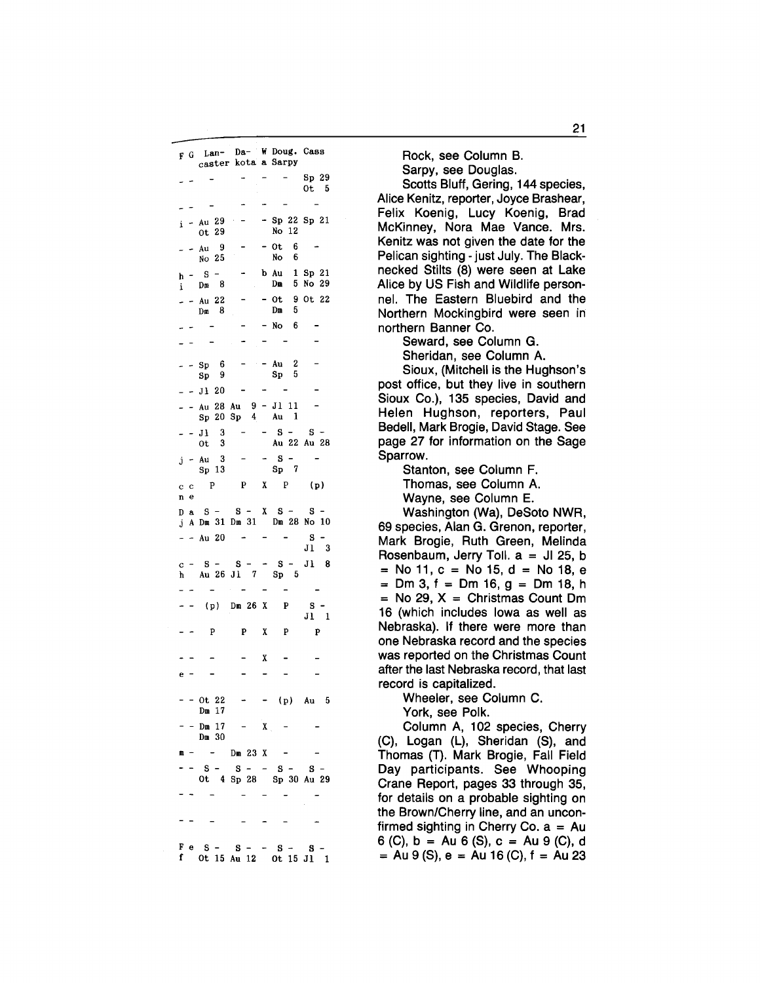|         |        | F G Lan- Da- W Doug. Cass<br>caster kota a Sarpy           |                 |   |                                                 |                        |
|---------|--------|------------------------------------------------------------|-----------------|---|-------------------------------------------------|------------------------|
|         |        |                                                            |                 |   |                                                 | $Sp$ 29                |
|         |        |                                                            |                 |   |                                                 | 0t <sub>5</sub>        |
|         |        |                                                            |                 |   |                                                 |                        |
| i.      |        | - Au 29<br>ot 29                                           |                 |   | $-$ Sp 22 Sp 21<br>No<br>12                     |                        |
|         |        | - 9<br>Au<br>No 25                                         |                 |   | 0t<br>6<br>6<br>No                              |                        |
| h.<br>i |        | $\overline{a}$<br>S.<br>$Dm = 8$                           |                 |   | b Au<br>Dm                                      | $1$ Sp $21$<br>5 No 29 |
|         |        | Au 22<br>Dm 8                                              |                 |   | 0t<br>5<br>Dm                                   | 9 Ot 22                |
|         |        |                                                            |                 |   | - No 6                                          |                        |
|         | -      |                                                            |                 |   |                                                 |                        |
|         |        | Sp <sub>6</sub><br>Sp 9                                    | $\sim$ $\alpha$ |   | - Au<br>2<br>Sp <sub>5</sub>                    |                        |
|         |        | $- J1 20$                                                  |                 |   |                                                 |                        |
|         |        | $-$ Au 28 Au 9 - J1 11<br>Sp <sub>20</sub> Sp <sub>1</sub> | $\overline{4}$  |   | $\mathbf{1}$<br>Au                              |                        |
|         |        | 3<br>J1<br>$\vec{ot}$<br>-3                                |                 |   | s<br>$\blacksquare$                             | s<br>Au 22 Au 28       |
|         | j -    | 3<br>Au<br>Sp <sub>13</sub>                                |                 |   | S.<br>Sp<7                                      |                        |
| c<br>n  | с<br>e | P                                                          | $\mathbf{P}$    |   | $X$ P                                           | (p)                    |
|         | Dа     | $S -$                                                      | $S - X S -$     |   |                                                 | $S -$                  |
| j<br>-  |        | A Dm 31 Dm 31 Dm 28 No 10<br>- Au 20                       |                 |   |                                                 | s                      |
|         |        |                                                            |                 |   |                                                 | $J1$ 3                 |
| c.      |        | S.<br>$\overline{\phantom{0}}$<br>Au 26 J1 7 Sp 5          | $S -$           |   | $-$ S $-$                                       | $JI$ 8                 |
|         | h —    |                                                            | $\epsilon$      |   |                                                 |                        |
|         |        |                                                            | $(p)$ Dm 26 X   |   | P                                               | s                      |
|         |        |                                                            |                 |   |                                                 | $J1$ 1                 |
|         |        | P                                                          | P.              | X | P                                               | P                      |
|         |        |                                                            |                 | X |                                                 |                        |
| e       |        |                                                            |                 |   |                                                 |                        |
|         |        | Ot 22<br>Dm 17                                             |                 |   | (p)                                             | Au<br>5                |
|         |        | Dm $17 - X$ -<br>Dm 30                                     |                 |   |                                                 |                        |
| m       |        |                                                            | $-$ Dm 23 X     |   |                                                 |                        |
|         |        | $\mathbf{s}$                                               |                 |   | $S - S - S - S - S -$<br>Ot 4 Sp 28 Sp 30 Au 29 |                        |
|         |        |                                                            |                 |   |                                                 |                        |
|         |        |                                                            |                 |   |                                                 |                        |
|         |        | $F e S - S - S - S -$                                      |                 |   |                                                 |                        |
|         | f      |                                                            |                 |   | Ot 15 Au 12 Ot 15 Jl 1                          | S.                     |

Rock, see Column B.

Sarpy, see Douglas.

Scotts Bluff, Gering, 144 species, Alice Kenitz, reporter, Joyce Brashear, Felix Koenig, Lucy Koenig, Brad McKinney, Nora Mae Vance. Mrs. Kenitz was not given the date for the Pelican sighting - just July. The Blacknecked Stilts (8) were seen at Lake Alice by US Fish and Wildlife personnel. The Eastern Bluebird and the Northern Mockingbird were seen in northern Banner Co.

Seward, see Column G.

Sheridan, see Column A.

Sioux, (Mitchell is the Hughson's post office, but they live in southern Sioux Co.), 135 species, David and Helen Hughson, reporters, Paul Bedell, Mark Brogie, David Stage. See page 27 for information on the Sage Sparrow.

> Stanton, see Column F. Thomas, see Column A. Wayne, see Column E.

Washington (Wa), DeSoto NWR, 69 species, Alan G. Grenon, reporter, Mark Brogie, Ruth Green, Melinda Rosenbaum, Jerry Toll.  $a = Jl$  25, b  $=$  No 11, c = No 15, d = No 18, e  $=$  Dm 3, f = Dm 16, g = Dm 18, h  $=$  No 29, X  $=$  Christmas Count Dm 16 (which includes Iowa as well as Nebraska). If there were more than one Nebraska record and the species was reported on the Christmas Count after the last Nebraska record, that last record is capitalized.

Wheeler, see Column C. York, see Polk.

Column A, 102 species, Cherry (C), Logan (L), Sheridan (S), and Thomas (T). Mark Brogie, Fall Field Day participants. See Whooping Crane Report, pages 33 through 35, for details on a probable sighting on the Brown/Cherry line, and an unconfirmed sighting in Cherry Co.  $a = Au$ 6 (C),  $b = Au 6$  (S),  $c = Au 9$  (C), d  $=$  Au 9 (S), e = Au 16 (C), f = Au 23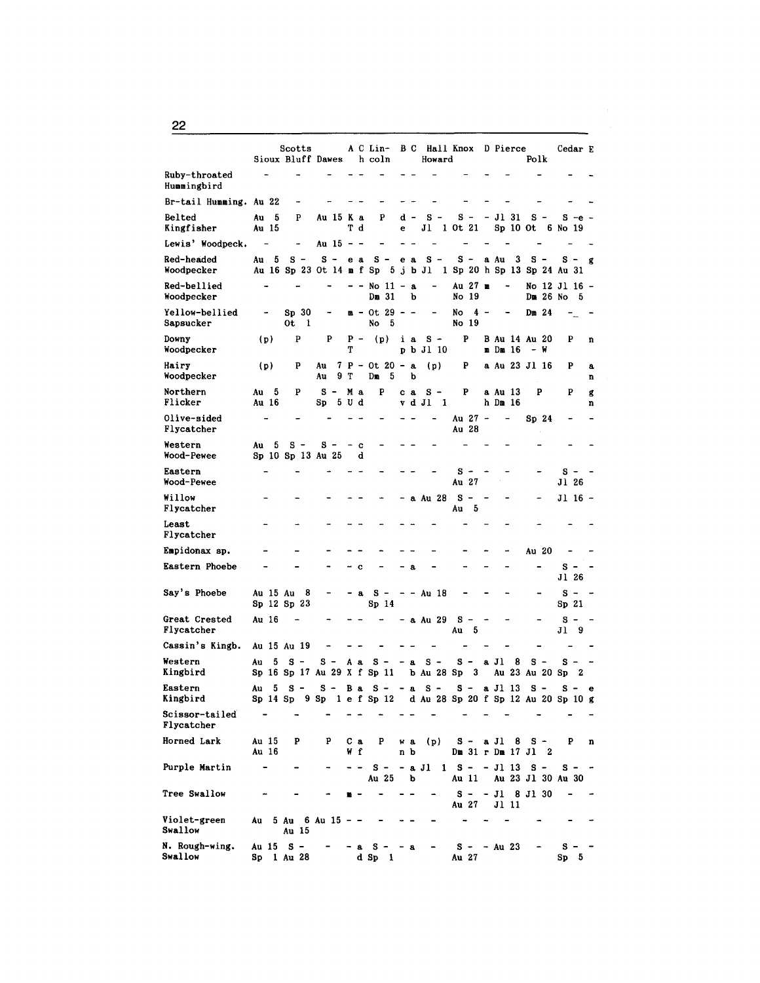Scotts A C Lin- B C Hall Knox D Pierce Cedar E<br>
K Bluff Dawes h coln Howard Polk Sioux Bluff Dawes h coln Ruby-throated  $\overline{a}$ Hummingbird Br-tail Humming. Au 22 Belted Au 5 p Au 15 K a p d - s - s - - Jl 31 s - S -e - Kingfisher Au 15 T d e Jl 1 Ot 21 Sp 10 Ot 6 No 19 Lewis' Woodpeck.  $-$  Au 15  $-$ Red-headed Au 5 S - S - e a S - e a S - S - a Au 3 S - S - g<br>Woodpecker Au 16 S p 23 Ot 14 m f S p 5 j b J 1 1 S p 20 h S p 13 S p 24 Au 31 Au 16 Sp 23 Ot 14 m f Sp 5 j b Jl 1 Sp 20 h Sp 13 Sp 24 Au 31 Red-bellied - - - - No 11 - a - Au 27 m - No 12 Jl 16 -<br>Woodpecker - - Dm 31 b No 19 Dm 26 No 5  $Yellow-bellied$  - Sp 30 - m - Ot 29 - - - No 4 - - Dm 24<br>Sapsucker 0t 1 No 5 No 19  $\tau_{\perp}$  .  $\tau$ Sapsucker Downy (p) p p p - (p) i a s - p B Au 14 Au 20 p n Woodpecker T pbJllO m Dm 16 - w Hairy (p) P Au 7 P - Ot 20 - a (p) P a Au 23 Jl 16 P a Woodpecker au 9 T Dm 5 b Northern Au 5 P S - M a P c a S - P a Au 13 P P g Flicker Au 16 Sp 5 U d v d Jl 1 h Dm 16 n Olive-sided  $-$  - - - - - - - Au 27 - - Sp 24<br>Flycatcher Au 28  $\overline{a}$ Flycatcher Western  $A$ u 5 S - S -  $\sim$  c Wood-Pewee Sp 10 Sp 13 Au 25 d Eastern s - - - - - - -  $S - -$  - -  $S$ Wood-Pewee J1 26 Willow - - - - - - - a Au 28 S - - - - Jl 16 -<br>Flycatcher Au 5 Least Flycatcher Empidonax sp.  $\cdots$  - - - - - - - - - - - - Au 20  $\overline{a}$  $\overline{a}$ Eastern Phoebe  $\sim$  -  $\sim$  -  $\sim$  -  $\sim$  -  $\sim$  -  $\sim$  -  $\sim$  -  $\sim$  -  $\sim$  -  $\sim$  -  $\sim$  -  $\sim$  -  $\sim$  -  $\sim$  -  $\sim$  -  $\sim$  -  $\sim$  -  $\sim$  -  $\sim$  -  $\sim$  -  $\sim$  -  $\sim$  -  $\sim$  -  $\sim$  -  $\sim$  -  $\sim$  -  $\sim$  -  $\sim$  -  $\sim$  -  $\sim$ Jl 26 Say's Phoebe Au 15 Au  $8 - -8 = -4018 - - -5 - 5 - 5$ <br>Sp 12 Sp 23 Sp 14 Sp 21 Sp 12 Sp 23 Great Crested Au 16 - - - - - a Au 29 S - - - - - S - -<br>Flycatcher Au 5 Jl 9 Cassin's Kingb. Au 15 Au 19  $\overline{a}$ Western Au 5 S - S - A a S - - a S - a J 1 8 S - S - -<br>Kingbird Sp 16 Sp 17 Au 29 X f Sp 11 b Au 28 Sp 3 Au 23 Au 20 Sp 2 Eastern Au 5 S - S - B a S - - a S - a J 1 1 3 S - S - e<br>Kingbird Sp 14 Sp 9 Sp 1 e f Sp 12 d Au 28 Sp 20 f Sp 12 Au 20 Sp 10 g  $\sim$   $\sim$  $\sim$   $\sim$  $\sim$  $\sim$ Scissor-tailed  $\sim$  $\overline{a}$  $\overline{a}$  $\sim$  $\sim$  $\sim$  $\sim$  $\sim$   $\sim$ Flycatcher Horned Lark Au 15 p p C a p w a (p) s - a Jl 8 s - p n Au 16 w f n b Dm 31 r Dm 17 Jl 2 Purple Martin - - - - - - - a Jl 1 S - - Jl 13 S - S - -<br>Au 25 b Au 11 Au 23 Jl 30 Au 30 Tree Swallow  $\mu$   $S$  -  $J1$  8 Jl 30  $\overline{\phantom{a}}$ Au 27 Jl 11 Violet-green Au 5 Au 6 Au 15 - -<br>Swallow Au 15  $\tilde{\phantom{a}}$  $\frac{1}{2}$ Swallow N. Rough-wing. Au 15 s - - a s - - a s - - Au 23 s - - Swallow Sp 1 Au 28 d Sp 1 Au 27 Sp 5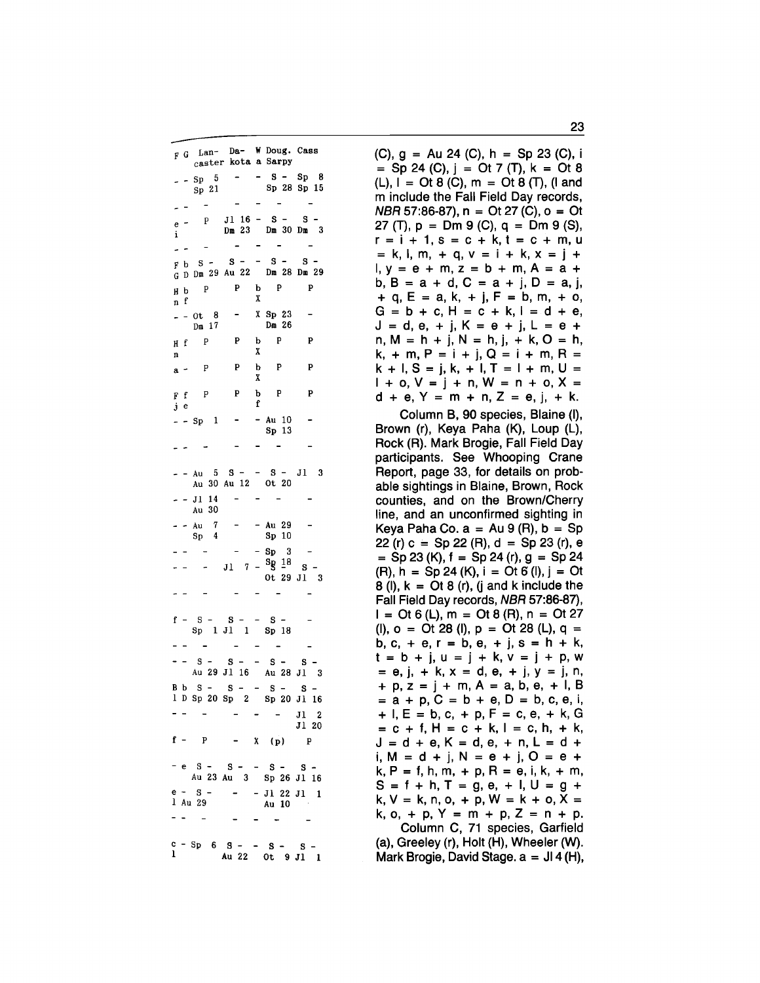|    |           |                                                | F G Lan- Da- W Doug. Cass<br>caster kota a Sarpy            |        |                               |                |
|----|-----------|------------------------------------------------|-------------------------------------------------------------|--------|-------------------------------|----------------|
|    |           | $-5p-5$<br>Sp <sub>21</sub>                    | $\mathcal{L}^{\mathcal{L}}$ and $\mathcal{L}^{\mathcal{L}}$ |        | $- S - Sp 8$<br>Sp 28 Sp 15   |                |
|    | -         |                                                |                                                             |        |                               |                |
| i  | $e -$     | $\mathbf{P}$                                   | $J1$ 16 - S -<br>Dm 23 Dm 30 Dm 3                           |        |                               | s              |
| ä, |           |                                                |                                                             |        |                               |                |
|    |           | $F b S -$                                      | $S =$                                                       |        | $-$ S $-$                     | s              |
|    |           |                                                | $\overline{G}$ D Dm 29 Au 22 Dm 28 Dm 29                    |        |                               |                |
|    | HЬ<br>f   | $\mathbf{P}$                                   | $\mathbf{P}$                                                | X      | $b$ $P$                       | P              |
| n  |           | $- - 0t - 8$<br>$Dm$ 17                        | $\overline{\phantom{0}}$                                    |        | $X$ Sp 23<br>Dm 26            |                |
|    |           | H f P                                          | P                                                           | X      | b P                           | P              |
| n  |           |                                                |                                                             |        | $\mathbf{P}$                  |                |
|    | $a -$     | P                                              | P                                                           | b<br>X |                               | P              |
|    | F f<br>jе | P                                              | P                                                           | f      | b P                           | P              |
|    |           | - Sp 1                                         |                                                             |        | - Au $10$<br>Sp <sub>13</sub> |                |
|    |           |                                                |                                                             |        |                               |                |
|    |           |                                                | $Au$ 5 S - - S -<br>Au 30 Au 12 Ot 20                       |        |                               | $J1$ 3         |
|    |           | - Jl 14<br>Au 30                               |                                                             |        |                               |                |
|    |           | Au $\begin{array}{cc} 7 \\ Sp & 4 \end{array}$ |                                                             |        | - Au 29<br>Sp 10              |                |
|    |           |                                                |                                                             |        | Sp <sub>3</sub>               |                |
|    |           |                                                | $J1$ 7 - ${}^{8}g$ 18                                       |        |                               | S.             |
|    |           |                                                |                                                             |        | Ot 29 J1 3                    |                |
|    |           |                                                |                                                             |        |                               |                |
|    |           | $f - S$ -                                      | $-$ S - S - - S -<br>Sp 1 J1 1 Sp 18                        |        |                               |                |
|    |           |                                                |                                                             |        | $\qquad \qquad \blacksquare$  |                |
|    |           |                                                | $S - S - S - S - S -$<br>Au 29 Jl 16 Au 28 Jl 3             |        |                               |                |
|    |           |                                                | B b S - S - - S - S -<br>1 D Sp 20 Sp 2 Sp 20 J1 16         |        |                               |                |
|    |           |                                                |                                                             |        |                               |                |
|    |           |                                                |                                                             |        |                               | $J1$ 2<br>J120 |
|    |           | $f - p$                                        |                                                             |        | $X - (p)$                     | $\mathbf{P}$   |
|    |           |                                                | - e S - S - - S - S -<br>Au 23 Au 3 Sp 26 Jl 16             |        |                               |                |
| e  |           | $- S$                                          |                                                             |        | $J1$ 22 $J1$                  | 1              |
|    |           | 1 Au 29                                        |                                                             |        | Au 10                         |                |
|    |           |                                                |                                                             |        |                               |                |
| ı  |           |                                                | $c - Sp = 6$ $S =$<br>Au 22 Ot 9 J1                         |        | <b>S</b>                      | s<br>1         |

(C),  $q = Au 24$  (C),  $h = Sp 23$  (C), i  $=$  Sp 24 (C), j = Ot 7 (T), k = Ot 8  $(L)$ ,  $I = Ot 8 (C)$ ,  $m = Ot 8 (T)$ ,  $I and I$ m include the Fall Field Day records,  $NBR$  57:86-87), n = Ot 27 (C), o = Ot 27 (T),  $p = Dm$  9 (C),  $q = Dm$  9 (S),  $r = i + 1$ ,  $s = c + k$ ,  $t = c + m$ , u  $= k, l, m, + q, v = i + k, x = j +$  $I, v = e + m, z = b + m, A = a +$ b,  $B = a + d$ ,  $C = a + j$ ,  $D = a$ , j,  $+$  q, E = a, k, + j, F = b, m, + o,  $G = b + c$ ,  $H = c + k$ ,  $I = d + e$ ,  $J = d, e, + j, K = e + j, L = e + j$  $n, M = h + j, N = h, j, + k, O = h$ ,  $k, + m, P = i + j, Q = i + m, R =$  $k + 1$ , S = j, k, + l, T = l + m, U =  $1 + 0$ ,  $V = j + n$ ,  $W = n + 0$ ,  $X =$  $d + e$ ,  $Y = m + n$ ,  $Z = e$ , j, + k.

Column B, 90 species, Blaine (I), Brown (r), Keya Paha (K), Loup (L), Rock (R). Mark Brogie, Fall Field Day participants. See Whooping Crane Report, page 33, for details on probable sightings in Blaine, Brown, Rock counties, and on the Brown/Cherry line, and an unconfirmed sighting in Keya Paha Co.  $a = Au 9 (R)$ ,  $b = Sp$ 22 (r)  $c = Sp 22$  (R),  $d = Sp 23$  (r), e  $=$  Sp 23 (K), f = Sp 24 (r), g = Sp 24  $(R)$ , h = Sp 24  $(K)$ , i = Ot 6  $(I)$ , j = Ot  $8$  (l),  $k = \text{Or } 8$  (r), (j and k include the Fall Field Day records, NBR 57:86-87),  $I = \text{Or } 6$  (L),  $m = \text{Or } 8$  (R),  $n = \text{Or } 27$ (I),  $o = Ot 28$  (I),  $p = Ot 28$  (L),  $q =$ b, c, + e, r = b, e, + j, s = h + k,  $t = b + j$ ,  $u = j + k$ ,  $v = j + p$ ,  $w = e$ ,  $j$ ,  $+ k$ ,  $x = d$ ,  $e$ ,  $+ j$ ,  $y = j$ , n,  $+ p, z = j + m, A = a, b, e, + l, B$  $=$  a + p, C = b + e, D = b, c, e, i,  $+$  I, E = b, c, + p, F = c, e, + k, G  $= c + f$ ,  $H = c + k$ ,  $I = c$ ,  $h$ ,  $+ k$ ,  $J = d + e$ ,  $K = d$ ,  $e$ ,  $+ n$ ,  $L = d +$ i,  $M = d + j$ ,  $N = e + j$ ,  $O = e + j$  $k, P = f, h, m, + p, R = e, i, k, + m,$  $S = f + h$ ,  $T = g$ ,  $e$ ,  $+ l$ ,  $U = g +$  $k, V = k, n, o, + p, W = k + o, X =$ k, o, + p, Y = m + p, Z = n + p. Column C, 71 species, Garfield

(a), Greeley (r), Holt (H), Wheeler (W). Mark Brogie, David Stage.  $a = J14$  (H),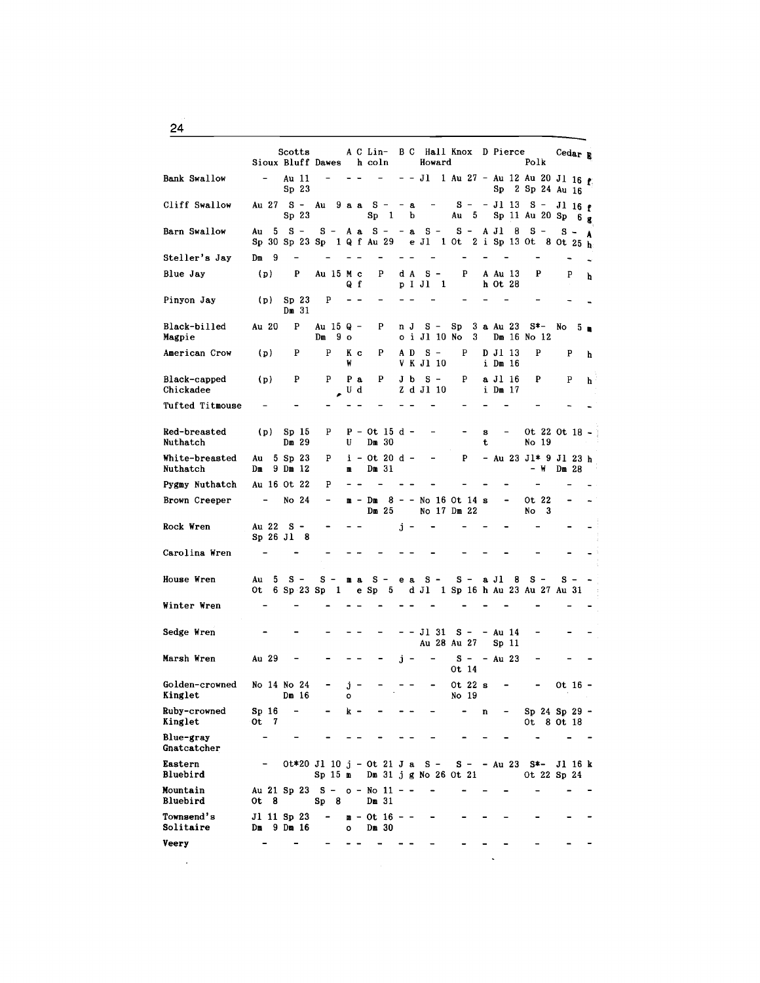Scotts A C Lin- B C Hall Knox D Pierce Cedar B<br>Bluff Dawes h coln Howard Polk Sioux Bluff Dawes h coln Bank Swallow - Au 11 - - - - - Jl 1 Au 27 - Au 12 Au 20 Jl 16 **t**<br>Sp 2 3<br>Sp 2 Sp 24 Au 16 Sp 2 Sp 24 Au 16 Cliff Swallow Au 27 S - Au 9 a a S - - a - S - - J 1 13 S - J 1 16 f<br>Sp 23 Sp 1 b Au 5 Sp 11 Au 20 Sp 6 g Au 5 Sp 11 Au 20 Sp  $6_g$ Barn Swallow Au 5 S - S - A a S - - a S - S - A Jl 8 S - S - A<br>Sp 30 Sp 23 Sp 1 Q f Au 29 e Jl 1 Ot 2 i Sp 13 Ot 8 Ot 25 h Steller's Jay Dm 9  $\sim$   $\sim$  $\equiv$ Blue Jay (p) P Au 15 M c P d A S - P A Au 13 P P h M c P d A S - P A Au 13<br>Q f p I Jl 1 h Ot 28 Pinyon Jay (p) Sp 23 p  $\sim$   $\sim$ Dm 31 Black-billed Au 20 P Au 15 Q - P n J S - Sp 3 a Au 23 S\*- No 5  $\blacksquare$ <br>Magpie Dm 9 o 0 i Jl 10 No 3 Dm 16 No 12 American Crow (p) P P K c P A D S - P D J1 13 P P  $h$ K C P A D S - P D J1 13<br>W V K J1 10 i Dm 16 Black-capped (p) P P P a P J b S - P a J1 16 P P h<br>Chickadee  $\qquad \qquad \qquad J$  d  $\qquad$  Z d J1 10 i Dm 17  $Z$  d Jl  $10$ Tufted Titmouse Red-breasted (p) Sp 15 P P - Ot 15 d - - - - s - Ot 22 Ot 18 -<br>Nuthatch Dm 29 U Dm 30 t No 19 White-breasted Au 5 Sp 23 P i - Ot 20 d - - P - Au 23 Jl\* 9 Jl 23 h<br>Nuthatch Dm 9 Dm 12 m Dm 31 - W Dm 28 Dm 9 Dm 12 Pygmy Nuthatch Au 16 Ot 22 P  $\sim$   $\sim$  $\equiv$  $\overline{a}$ Brown Creeper - No  $24$  - m - Dm  $8$  - - No  $16$  Ot  $14$  s - 0t  $22$ <br>Dm  $25$  No  $17$  Dm  $22$  No  $3$ No 17 Dm 22 Rock Wren  $Au$  22 S - - - j -Sp 26 Jl 8 Carolina Wren  $\overline{a}$ House Wren Au 5 S - S - m a S - e a S - S - a Jl 8 S - S - 0t 6 Sp 23 Sp 1 e Sp 5 d Jl 1 Sp 16 h Au 23 Au 27 Au 31 Winter Wren  $\overline{a}$  $\overline{a}$ Sedge Wren - - Jl 31 s - - Au 14 Au 28 Au 27 Sp 11 Marsh Wren Au 29 - - - - j - -  $S - A u 23$ Ot 14 Golden-crowned No 14 No 24 -  $j -$  - - - - Ot 22 s - - Ot 16 -<br>Kinglet Dm 16 o No 19 Kinglet Dm 16 0 Ruby-crowned Sp 16 k - n Sp 24 Sp 29 - Kinglet Ot 7 Ot 8 Ot 18 Blue-gray  $\sim$  $\overline{a}$  $\overline{a}$  $\sim$ Gnatcatcher Eastern -  $0t*20 Jl 10 j - 0t 21 J a S - S - Au 23 S*- Jl 16 k$ <br>Bluebird Sp 15 m Dm 31 j g No 26 0t 21 0t 22 Sp 24 Sp  $15$  m Dm  $31$  j g No 26 Ot 21 Mountain  $Au$  21 Sp 23 S -  $o - No$  11 - -<br>Bluebird 0t 8 Sp 8 Dm 31  $\sim$  $Sp 8$ Townsend's J1 11 Sp 23 - m - Ot 16<br>Solitaire Dm 9 Dm 16 0 Dm 30  $Dm$  9  $Dm$  16 Veery  $\sim$  $\sim$   $\sim$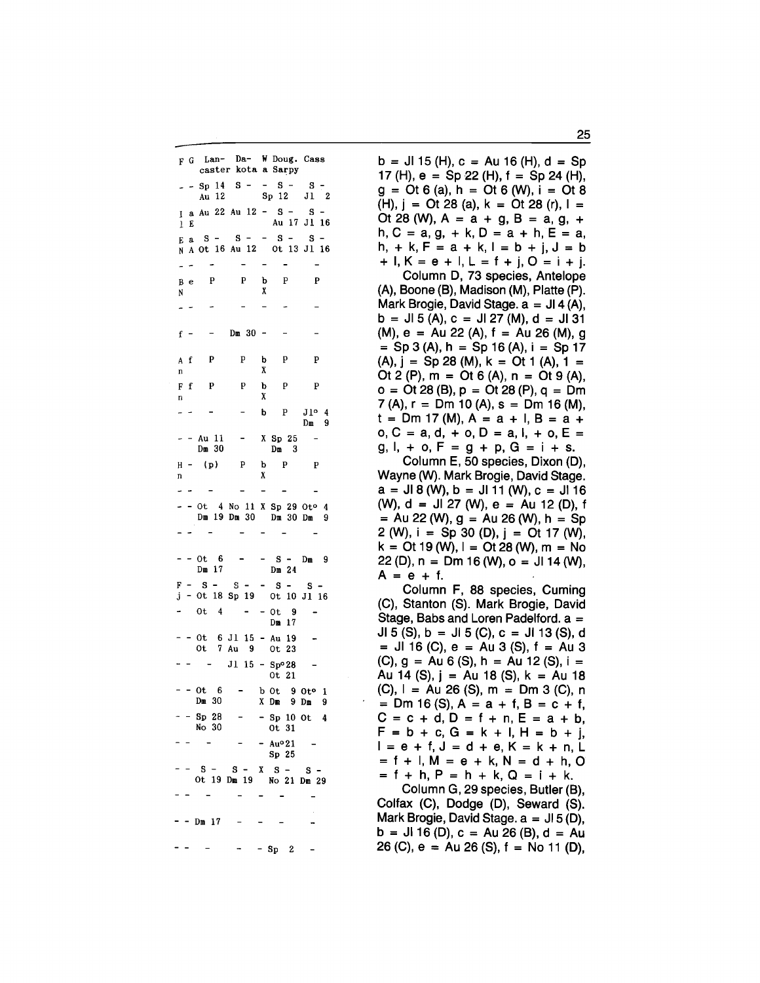F G Lan- Da- W Doug. Cass caster kota a Sarpy  $-$  - Sp 14 S - - S - $S -$ Au 12 Sp 12 J1 2  $I$  a Au 22 Au 12 - S - $\mathbf{S}$  – Au 17 Jl 16  $1 E$  $S - - S \mathbf{S}$  –  $S -$ E<sub>a</sub> N A Ot 16 Au 12 Ot 13 J1 16  $\overline{a}$  $\overline{\mathbf{P}}$  $\mathbf{P}$ p  $\mathbf b$  $\mathbf{B}$  $\epsilon$ N Χ  $Dm 30 -$ P p b P  $\overline{P}$  $\mathbf{A}$  $\mathbf f$ X  $\mathbf n$  $\mathbf{P}$  $\mathbf F$ f p p b  $\mathbf{P}$ X n b  $\mathbf{P}$  $J1^o$  4  $Dm = 9$ Au 11 X Sp 25  $Dm 30$  $\overline{\mathbf{3}}$  $\mathbf{D}\mathbf{m}$  $H (p)$ P þ  $\mathbf{P}$  ${\bf P}$ X  $\mathbf{n}$ Ot 4 No 11 X Sp 29 Oto 4 Dm 19 Dm 30 Dm 30 Dm 9  $\overline{a}$  $- - 0t - 6$  $-$  S  $-$  Dm 9  $\sim$  $Dm 17$ Dm 24  $F - S - S - - S S =$ j - Ot 18 Sp 19 Ot 10 Jl 16  $- - 0t - 9$  $0t$  4 Dm 17 Ot 6 J1 15 - Au 19  $\ddot{\phantom{a}}$ Ot 7 Au 9 Ot 23  $\omega_{\rm{c}} = \omega_{\rm{c}} - \omega_{\rm{c}} \label{eq:omega}$  $J1$  15 - Sp°28  $\overline{\phantom{0}}$ 0t 21  $- - 0t - 6$ b 0t 9 0t<sup>o</sup> 1  $Dm 30$ X Dm 9 Dm 9  $-$  - Sp 28  $-$  Sp 10 Ot 4 No 30 0t 31  $- Au<sup>o</sup>21$ Sp 25  $S - X S S =$  $S -$ Ot 19 Dm 19 No 21 Dm 29 - - Dm 17  $-$  Sp 2

 $b = J15$  (H),  $c = Au16$  (H),  $d = Sp$ 17 (H),  $e = Sp 22$  (H),  $f = Sp 24$  (H),  $g = Ot 6$  (a), h = Ot 6 (W), i = Ot 8 (H),  $j =$  Ot 28 (a),  $k =$  Ot 28 (r),  $l =$ Ot 28 (W),  $A = a + g$ ,  $B = a$ ,  $g$ ,  $+$  $h, C = a, g, + k, D = a + h, E = a,$  $h, + k, F = a + k, l = b + j, J = b$ +  $I, K = e + I, L = f + i, O = i + i.$ 

Column D, 73 species, Antelope (A), Boone (B), Madison (M), Platte (P). Mark Brogie, David Stage.  $a = J14(A)$ ,  $b = J15(A), c = J127(M), d = J131$  $(M)$ , e = Au 22 (A), f = Au 26 (M), g  $=$  Sp 3 (A), h = Sp 16 (A), i = Sp 17  $(A), j = Sp 28 (M), k = Ot 1 (A), 1 =$ Ot 2 (P),  $m =$  Ot 6 (A),  $n =$  Ot 9 (A),  $o = Ot 28 (B), p = Ot 28 (P), q = Dm$  $7(A), r = Dm 10 (A), s = Dm 16 (M),$  $t = Dm 17 (M), A = a + I, B = a +$  $0, C = a, d, + o, D = a, l, + o, E =$  $g, l, + o, F = g + p, G = i + s.$ 

Column E, 50 species, Dixon (D), Wayne (W). Mark Brogie, David Stage.  $a = J18$  (W),  $b = J11$  (W),  $c = J116$ (W),  $d = J1 27$  (W),  $e = Au 12$  (D), f  $=$  Au 22 (W), g = Au 26 (W), h = Sp 2 (W),  $i = Sp 30$  (D),  $j = Ot 17$  (W),  $k =$  Ot 19 (W),  $l =$  Ot 28 (W), m = No 22 (D),  $n = Dm 16$  (W),  $o = J14$  (W),  $A = e + f$ .

Column F, 88 species, Cuming (C), Stanton (S). Mark Brogie, David Stage, Babs and Loren Padelford. a = JI 5 (S), b = JI 5 (C), c = JI 13 (S), d  $=$  JI 16 (C), e = Au 3 (S), f = Au 3  $(C)$ , g = Au 6 (S), h = Au 12 (S), i = Au 14 (S),  $j = Au$  18 (S),  $k = Au$  18  $(C), 1 = Au 26 (S), m = Dm 3 (C), n$  $=$  Dm 16 (S), A = a + f, B = c + f,  $C = c + d, D = f + n, E = a + b,$  $F = b + c$ ,  $G = k + 1$ ,  $H = b + i$ ,  $I = e + f$ ,  $J = d + e$ ,  $K = k + n$ , L  $= f + I, M = e + k, N = d + h, O$  $= f + h$ ,  $P = h + k$ ,  $Q = i + k$ .

Column G, 29 species, Butler (B), Colfax (C), Dodge (D), Seward (S). Mark Brogie, David Stage.  $a = J15(D)$ ,  $b = J16(D), c = Au26(B), d = Au$ 26 (C),  $e = Au 26$  (S),  $f = No 11$  (D),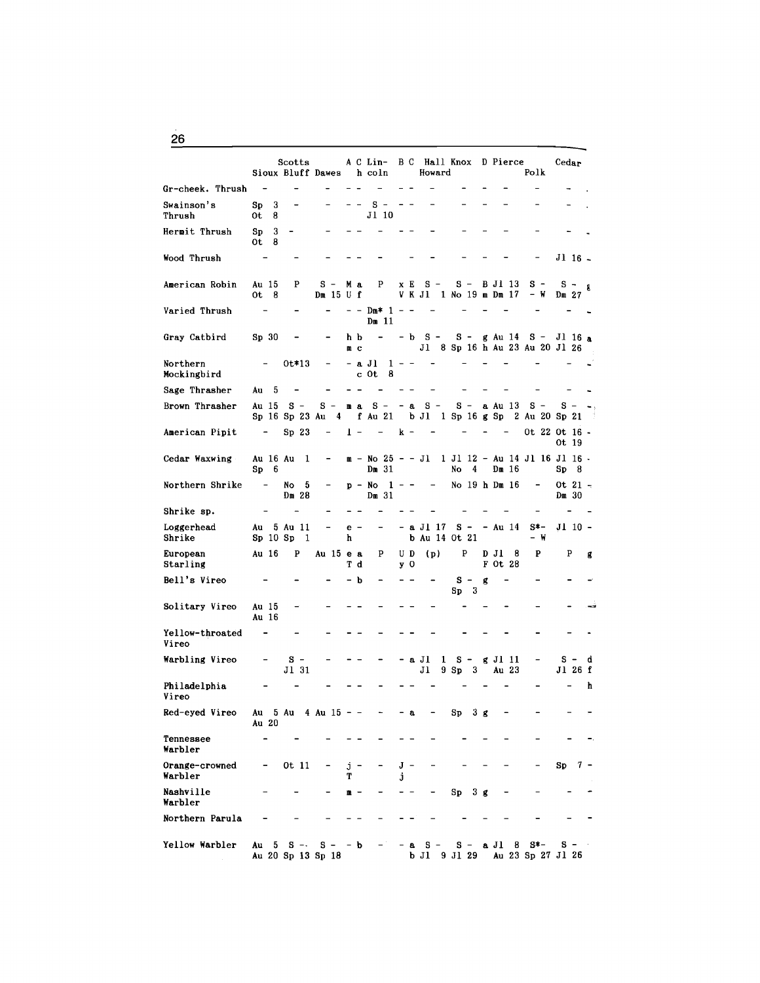|                           |                              | Scotts                  | Sioux Bluff Dawes          |   |           | h coln                       |         |                | A C Lin- B C Hall Knox D Pierce<br>Howard        |                   |   |                                | Polk          | Cedar                            |   |
|---------------------------|------------------------------|-------------------------|----------------------------|---|-----------|------------------------------|---------|----------------|--------------------------------------------------|-------------------|---|--------------------------------|---------------|----------------------------------|---|
| Gr-cheek. Thrush          |                              |                         |                            |   |           |                              |         |                |                                                  |                   |   |                                |               |                                  |   |
| Swainson's<br>Thrush      | Sp <sub>3</sub><br>0t<br>8   |                         |                            |   |           | s<br>$J1$ 10                 |         |                |                                                  |                   |   |                                |               |                                  |   |
| Hermit Thrush             | 3<br>Sp<br>- 8<br>0t.        |                         |                            |   |           |                              |         |                |                                                  |                   |   |                                |               |                                  |   |
| Wood Thrush               |                              |                         |                            |   |           |                              |         |                |                                                  |                   |   |                                |               | Jl 16 -                          |   |
| American Robin            | Au 15<br>$0t$ 8              | P                       | $s -$<br>$Dm$ 15 U f       |   | Mа        | P                            |         | x E            | $S -$<br>V K J1 1 No 19 m Dm 17                  |                   |   | $S - BJI$ 13                   | $s -$<br>– W  | $S - g$<br>Dm <sub>27</sub>      |   |
| Varied Thrush             |                              |                         |                            |   |           | – – Dm* 1 – –<br>Dm 11       |         |                |                                                  |                   |   |                                |               |                                  |   |
| Gray Catbird              | Sp <sub>30</sub>             |                         |                            |   | h b<br>mс | $\qquad \qquad \blacksquare$ |         |                | $-$ b S $-$ S $-$ g Au 14 S $-$ J1 16 a          |                   |   | J1 8 Sp 16 h Au 23 Au 20 J1 26 |               |                                  |   |
| Northern<br>Mockingbird   |                              | 0t*13                   |                            |   |           | – a Jl<br>c Ot<br>8          | $1 - -$ |                |                                                  |                   |   |                                |               |                                  |   |
| Sage Thrasher             | Au 5                         |                         |                            |   |           |                              |         |                |                                                  |                   |   |                                |               |                                  |   |
| Brown Thrasher            | Au 15                        | $s -$<br>Sp 16 Sp 23 Au | s –<br>$\frac{4}{ }$       |   |           | ma S – – a                   |         |                | $S -$<br>f Au 21 b Jl 1 Sp 16 g Sp 2 Au 20 Sp 21 | $S -$             |   | a Au 13                        | $s -$         | $s -$                            |   |
| American Pipit            | $\sim$                       | Sp <sub>23</sub>        |                            |   | $1 -$     | $\sim$                       |         | $\mathbf{k}$ – |                                                  |                   |   |                                |               | Ot 22 Ot 16 -<br>Ot 19           |   |
| Cedar Waxwing             | Sp6                          | Au 16 Au 1              |                            |   |           | Dm <sub>31</sub>             |         |                | m - No 25 - - Jl   1 Jl 12 - Au 14 Jl 16 Jl 16 - | -4<br>No          |   | Dm 16                          |               | Sp<br>-8                         |   |
| Northern Shrike           | $\blacksquare$               | No<br>5<br>Dm 28        |                            |   |           | $p - No$<br>Dm <sub>31</sub> |         | $1 - -$        |                                                  |                   |   | $-$ No 19 h Dm 16              |               | 0t $21 -$<br>Dm 30               |   |
| Shrike sp.                |                              |                         |                            |   |           |                              |         |                |                                                  |                   |   |                                |               |                                  |   |
| Loggerhead<br>Shrike      | $Sp_10Sp_2$                  | Au 5 Au 11<br>1         |                            | h | $e -$     | $\qquad \qquad -$            |         |                | - a Jl 17<br>b Au 14 Ot 21                       |                   |   | $S - - Au$ 14                  | $S^*-$<br>– W | J1 10 -                          |   |
| European<br>Starling      | Au 16                        | P                       | Au 15 e a                  |   | Тd        | P                            |         | U D<br>y O     | (p)                                              | P                 |   | D Jl<br>8<br>F Ot 28           | P             | P                                | g |
| Bell's Vireo              |                              |                         |                            |   | b         |                              |         |                |                                                  | $S -$<br>3<br>Sp  | g |                                |               |                                  |   |
| Solitary Vireo            | Au 15<br>Au 16               |                         |                            |   |           |                              |         |                |                                                  |                   |   |                                |               |                                  |   |
| Yellow-throated<br>Vireo  |                              |                         |                            |   |           |                              |         |                |                                                  |                   |   |                                |               |                                  |   |
| Warbling Vireo            | $\qquad \qquad \blacksquare$ | $s -$<br>J1 31          |                            |   |           |                              |         |                | a Jl<br>1<br>ЛŢ                                  | $s -$<br>9 Sp 3   |   | g Jl 11<br>Au 23               |               | s -<br>Jl 26 f                   | d |
| Philadelphia<br>Vireo     |                              |                         |                            |   |           |                              |         |                |                                                  |                   |   |                                |               |                                  | h |
| Red-eyed Vireo            | Au 20                        |                         | Au 5 Au 4 Au 15 - -        |   |           |                              |         | a              |                                                  | Sp <sub>3</sub> g |   |                                |               |                                  |   |
| Tennessee<br>Warbler      |                              |                         |                            |   |           |                              |         |                |                                                  |                   |   |                                |               |                                  |   |
| Orange-crowned<br>Warbler |                              | 0t 11                   |                            | T | j -       |                              | j.      | J –            |                                                  |                   |   |                                |               | Sp<br>7 -                        |   |
| Nashville<br>Warbler      |                              |                         |                            | ≞ |           |                              |         |                |                                                  | Sp <sub>3</sub> g |   |                                |               |                                  |   |
| Northern Parula           |                              |                         |                            |   |           |                              |         |                |                                                  |                   |   |                                |               |                                  |   |
| Yellow Warbler            | Au 5                         | $S -$                   | $s -$<br>Au 20 Sp 13 Sp 18 |   | - b       |                              |         | a              | $S -$<br>b J1 9 J1 29                            | $s -$             |   | a Jl 8                         | S*-           | $s - \cdot$<br>Au 23 Sp 27 Jl 26 |   |

 $\frac{26}{2}$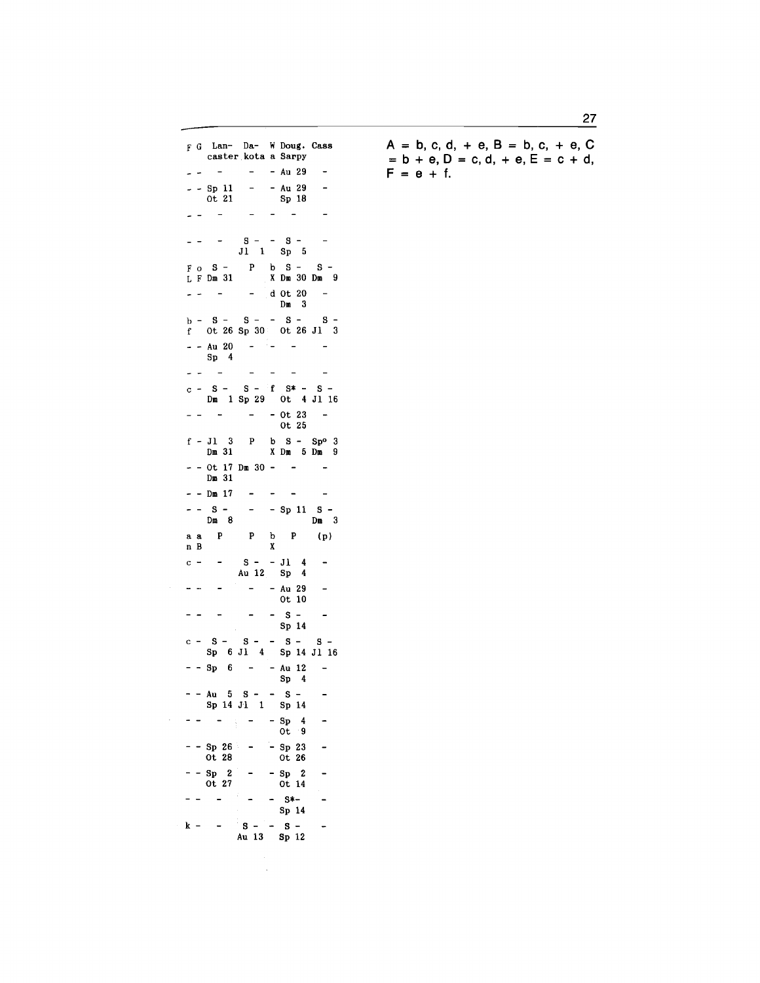F G Lan- Da- W Doug, Cass caster kota a Sarpy  $\mathbf{L} = \mathbf{L} \mathbf{R}$ - Au 29  $\overline{\phantom{a}}$  $-$  - Sp 11 - - Au 29<br>0t 21 - Sp 18  $\overline{a}$ Sp 18  $\omega_{\rm{eff}} = 1 - \omega_{\rm{eff}}$  $\omega_{\rm{eff}}=0.5$  $\overline{\phantom{a}}$  $s - - s \omega_{\rm{eff}} = 1.7 \times 10^{-4}$ Jl 1 Sp 5 Fo S- P b S- S-X Dm 30 Dm 9  $\mathbf{L}$  and  $\mathbf{L}$  $-$  d Ot 20  $-$ Dm 3  $b - S - S - - S - S$ <sup>f</sup>Ot 26 Sp 30 Ot 26 Jl 3  $-$  - Au 20  $-$ Sp 4  $\omega_{\rm{eff}}=100$  $\mathcal{L}^{\text{max}}_{\text{max}}$  ,  $\mathcal{L}^{\text{max}}_{\text{max}}$  $\sim$  $c - S - S - f S$  +  $S$  +  $S -$ Dm 1 Sp 29 Ot 4 Jl 16  $-$  -  $-$  - 0t 23 -Ot 25  $f - J1$  3 P b S - Sp<sup>o</sup> 3<br>Dm 31 X Dm 5 Dm 9  $-$  - Ot 17 Dm 30 - - - -Dm 31  $- -$  Dm 17  $\mathcal{L}_{\mathcal{A}}$  , and  $\mathcal{L}_{\mathcal{A}}$  , and  $\mathcal{L}_{\mathcal{A}}$  $-$  - S - - - Sp 11 S -<br>Dm 8 - - - Dm 3 Dm  $3$  $\begin{array}{lllllllll} \texttt{a} & \texttt{a} & \texttt{P} & \texttt{P} & \texttt{b} & \texttt{P} & \texttt{(p)} \\ \texttt{n} & \texttt{B} & & \texttt{X} & & \end{array}$ n B c - -  $S - - J1$  4<br>Au 12 Sp 4  $\overline{\phantom{a}}$  $- - Au 29$  $\omega_{\rm c}$  and  $\omega_{\rm c}$  $\sim$ Ot 10  $\frac{1}{2} \left( \frac{1}{2} \right) \left( \frac{1}{2} \right) = \frac{1}{2} \left( \frac{1}{2} \right)$  $s$   $\overline{\phantom{a}}$ Sp 14  $c - S - S - S - S - S - S -$ Sp 6 Jl 4 Sp 14 Jl 16  $-$  - Sp 6 - - Au 12  $\sim$ Sp 4  $- - Au$  5 s - - s - $\overline{a}$ Sp 14 Jl 1 Sp 14  $-$  -  $\sqrt{ }$  -  $Sp$  4  $\overline{a}$  $0t - 9$  $-$  Sp 26  $-$  Sp 23<br>0t 28 0t 26  $\sim$  $0t$  26  $-$  - Sp 2 - - Sp 2<br>0t 27 - 0t 14  $\overline{\phantom{a}}$ Ot  $14$  $\omega_{\rm{eff}} = \omega_{\rm{eff}} = 0.05 \omega_{\rm{eff}}$  $-$  S<sup>\*-</sup>  $\overline{\phantom{a}}$ Sp 14  $k - - S - S - A u 13 Sp 12$  $\ddot{\phantom{1}}$ 

 $\sim$ 

 $A = b, c, d, + e, B = b, c, + e, C$  $= b + e$ ,  $D = c$ ,  $d$ ,  $+ e$ ,  $E = c + d$ ,  $F = e + f$ .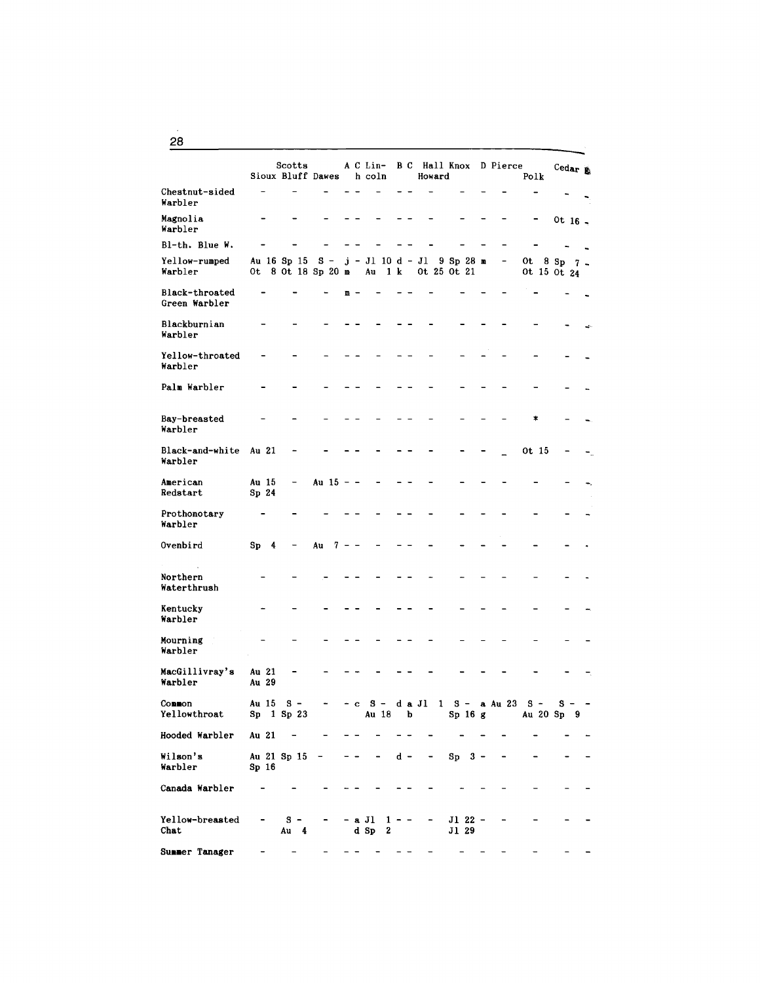|                                 |                           |   | Scotts<br>Sioux Bluff Dawes       |       |             |   | A C Lin-<br>h coln |       |         |     |        | Howard | <b>B</b> C Hall Knox                        |  | D Pierce | Polk |                            | Cedar $\mathbf{E}$ |  |
|---------------------------------|---------------------------|---|-----------------------------------|-------|-------------|---|--------------------|-------|---------|-----|--------|--------|---------------------------------------------|--|----------|------|----------------------------|--------------------|--|
| Chestnut-sided<br>Warbler       |                           |   |                                   |       |             |   |                    |       |         |     |        |        |                                             |  |          |      |                            |                    |  |
| Magnolia<br>Warbler             |                           |   |                                   |       |             |   |                    |       |         |     |        |        |                                             |  |          |      |                            | Ot $16 -$          |  |
| Bl-th. Blue W.                  |                           |   |                                   |       |             |   |                    |       |         |     |        |        |                                             |  |          |      |                            |                    |  |
| Yellow-rumped<br>Warbler        |                           |   | Au 16 Sp 15<br>Ot 8 Ot 18 Sp 20 m | $S -$ |             |   | Au                 |       | 1 k     |     |        |        | $j - J1$ 10 d - J1 9 Sp 28 m<br>Ot 25 Ot 21 |  |          |      | Ot 8 Sp 7 .<br>Ot 15 Ot 24 |                    |  |
| Black-throated<br>Green Warbler |                           |   |                                   |       |             | m |                    |       |         |     |        |        |                                             |  |          |      |                            |                    |  |
| Blackburnian<br>Warbler         |                           |   |                                   |       |             |   |                    |       |         |     |        |        |                                             |  |          |      |                            |                    |  |
| Yellow-throated<br>Warbler      |                           |   |                                   |       |             |   |                    |       |         |     |        |        |                                             |  |          |      |                            |                    |  |
| Palm Warbler                    |                           |   |                                   |       |             |   |                    |       |         |     |        |        |                                             |  |          |      |                            |                    |  |
| Bay-breasted<br>Warbler         |                           |   |                                   |       |             |   |                    |       |         |     |        |        |                                             |  |          |      |                            |                    |  |
| Black-and-white<br>Warbler      | Au 21                     |   |                                   |       |             |   |                    |       |         |     |        |        |                                             |  |          |      | Ot 15                      |                    |  |
| American<br>Redstart            | Au 15<br>Sp <sub>24</sub> |   | $\overline{\phantom{a}}$          |       | Au $15 - -$ |   |                    |       |         |     |        |        |                                             |  |          |      |                            |                    |  |
| Prothonotary<br>Warbler         |                           |   |                                   |       |             |   |                    |       |         |     |        |        |                                             |  |          |      |                            |                    |  |
| Ovenbird                        | Sp                        | 4 |                                   | Au    | 7           |   |                    |       |         |     |        |        |                                             |  |          |      |                            |                    |  |
| Northern<br>Waterthrush         |                           |   |                                   |       |             |   |                    |       |         |     |        |        |                                             |  |          |      |                            |                    |  |
| Kentucky<br>Warbler             |                           |   |                                   |       |             |   |                    |       |         |     |        |        |                                             |  |          |      |                            |                    |  |
| Mourning<br>Warbler             |                           |   |                                   |       |             |   |                    |       |         |     |        |        |                                             |  |          |      |                            |                    |  |
| MacGillivray's<br>Warbler       | Au 21<br>Au 29            |   |                                   |       |             |   |                    |       |         |     |        |        |                                             |  |          |      |                            |                    |  |
| Common<br>Yellowthroat          | Au 15                     |   | S.<br>Sp 1 Sp 23                  |       |             |   | s                  | Au 18 |         | b   | d a Jl | ı      | s -<br>Sp 16 g                              |  | a Au 23  |      | s -<br>Au 20 Sp 9          | s                  |  |
| Hooded Warbler                  | Au 21                     |   |                                   |       |             |   |                    |       |         |     |        |        |                                             |  |          |      |                            |                    |  |
| Wilson's<br>Warbler             | Sp <sub>16</sub>          |   | Au 21 Sp 15                       |       |             |   |                    |       |         | d - |        |        | $Sp$ 3 -                                    |  |          |      |                            |                    |  |
| Canada Warbler                  |                           |   |                                   |       |             |   |                    |       |         |     |        |        |                                             |  |          |      |                            |                    |  |
| Yellow-breasted<br>Chat         |                           |   | $s -$<br>Au 4                     |       |             |   | - a Jl<br>$d$ Sp   | 2     | $1 - -$ |     |        |        | J1 22 -<br>J1 29                            |  |          |      |                            |                    |  |
| Summer Tanager                  |                           |   |                                   |       |             |   |                    |       |         |     |        |        |                                             |  |          |      |                            |                    |  |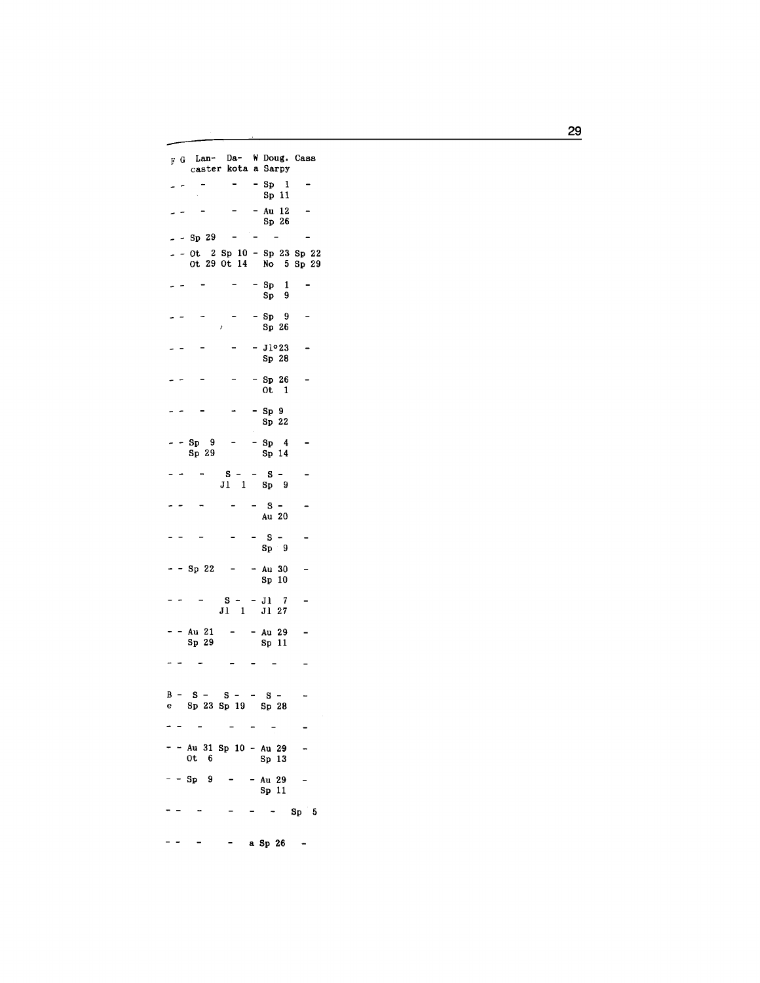F G Lan- Da- W Doug. Cass caster kota a Sarpy  $\begin{array}{cc} - & -\text{ Sp} & 1 \\ & \text{Sp} & 11 \end{array}$  $\sim$  $\sim$ - - Au 12<br>Sp 26  $\overline{\phantom{a}}$  $\overline{\phantom{a}}$  $\sim$   $\sim$  $-$  - Sp 29 - - - $-$  - 0t 2 Sp 10 - Sp 23 Sp 22<br>0t 29 0t 14 No 5 Sp 29  $-$  Sp 1  $\omega_{\rm c}$  and  $\omega_{\rm c}$  $Sp 9$  $\frac{5p}{3p}$   $\frac{9}{26}$  $\omega_{\rm c}$   $\sim$  $\blacksquare$  $-J1°23$  $\Box$  $\frac{1}{2}$  $Sp<sub>28</sub>$  $-$  Sp 26  $-$ <br>Ot 1  $\overline{\phantom{a}}$  $\frac{1}{2}$  $\sim$  $-$  Sp 9  $\blacksquare$ - - $Sp<sub>22</sub>$  $-$  - Sp 9 - - Sp 4<br>Sp 29 - Sp 14  $\mathcal{C}$  $-$  S - - S -<br>J1 1 Sp 9  $\omega_{\rm c} = 1.00$  $\qquad \qquad \blacksquare$  $- - S \frac{1}{2}$  $\bar{\phantom{a}}$  $\blacksquare$ Au 20  $\begin{array}{cc} - & - & S & - \\ & \text{Sp} & 9 \end{array}$  $\sim$  $\ddot{\phantom{a}}$  $-$  - Sp 22 - - Au 30 - $Sp<sub>10</sub>$  $S - - J1 7$ <br> $J1 1 J1 27$  $\omega_{\rm c}$   $\omega_{\rm c}$  $\sim$   $-$  .  $\Box$  $-$  - Au 21 - - Au 29<br>Sp 29 - Sp 11  $\overline{\phantom{a}}$ لمنابذ المنابط المدامين  $B - S - S - S -$ <br>
e Sp 23 Sp 19 Sp 28  $\ddot{\phantom{a}}$  $\frac{1}{2} \left( \frac{1}{2} \right) \left( \frac{1}{2} \right) \left( \frac{1}{2} \right)$  $\omega_{\rm{max}}$  $\sim$  $\overline{a}$  $-$  - Au 31 Sp 10 - Au 29  $\overline{a}$  $0t \quad 6$ Sp 13  $-$  - Sp 9 - - Au 29  $\overline{\phantom{a}}$  $Sp 11$  $- - - - - - - -$  Sp 5  $- - - -$  a Sp 26 -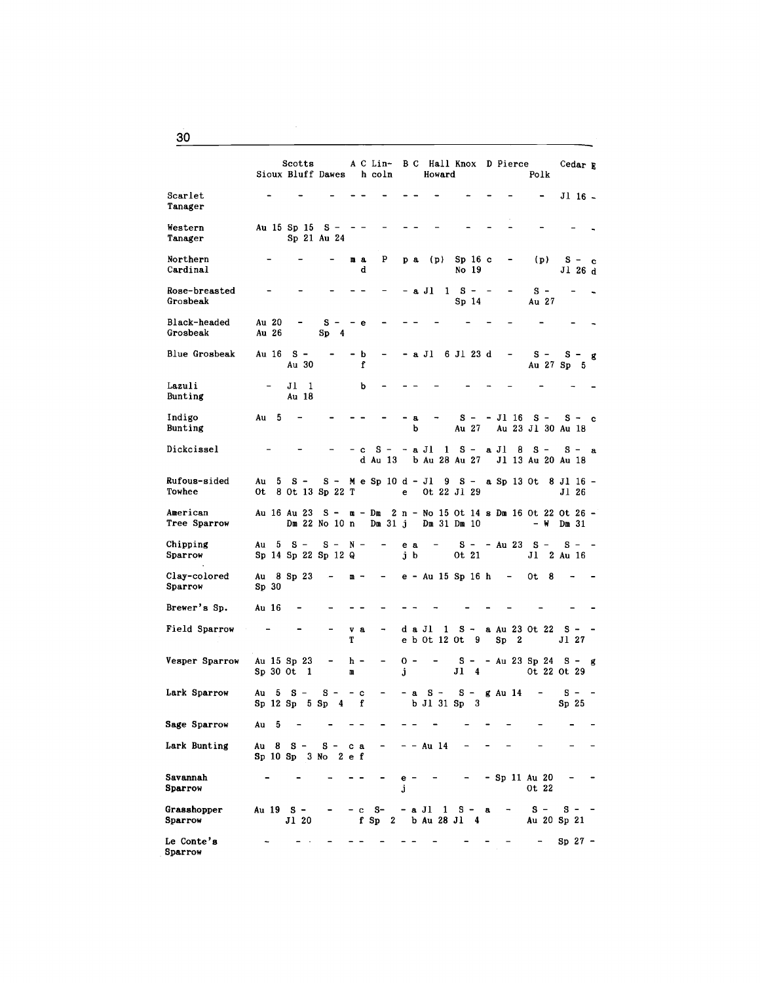|                           |                  | Scotts<br>Sioux Bluff Dawes h coln     |                    |                      |          |           |         |           |           | Howard       |                                             |                    | A C Lin- B C Hall Knox D Pierce<br>Polk                                 | Cedar R                     |   |
|---------------------------|------------------|----------------------------------------|--------------------|----------------------|----------|-----------|---------|-----------|-----------|--------------|---------------------------------------------|--------------------|-------------------------------------------------------------------------|-----------------------------|---|
| Scarlet<br>Tanager        |                  |                                        |                    |                      |          |           |         |           |           |              |                                             |                    |                                                                         | $J1$ 16 $-$                 |   |
| Western<br>Tanager        |                  | Au 15 Sp 15                            | s –<br>Sp 21 Au 24 |                      |          |           |         |           |           |              |                                             |                    |                                                                         |                             |   |
| Northern<br>Cardinal      |                  |                                        |                    |                      | mа<br>d  | P         |         | p a       |           | (p)          | Sp <sub>16</sub> c<br>No 19                 |                    | (p)                                                                     | $S - c$<br>Jl 26 d          |   |
| Rose-breasted<br>Grosbeak |                  |                                        |                    |                      |          |           |         |           | – a Jl    |              | $1 \quad S -$<br>Sp 14                      |                    | $s -$<br>Au 27                                                          |                             |   |
| Black-headed<br>Grosbeak  | Au 20<br>Au 26   |                                        | $s -$<br>Sp<br>4   |                      | -е       |           |         |           |           |              |                                             |                    |                                                                         |                             |   |
| Blue Grosbeak             | Au 16            | $s -$<br>Au 30                         |                    |                      | - b<br>f |           |         |           |           |              | -a Jl 6 Jl 23 d                             |                    | s –<br>Au 27 Sp                                                         | s –<br>5.                   | g |
| Lazuli<br>Bunting         |                  | Jl<br>-1<br>Au 18                      |                    |                      | b        |           |         |           |           |              |                                             |                    |                                                                         |                             |   |
| Indigo<br>Bunting         | Au<br>- 5        |                                        |                    |                      |          |           |         | a<br>b    |           |              | $s -$<br>Au 27                              | - Jl 16            | $s -$<br>Au 23 Jl 30 Au 18                                              | S-c                         |   |
| Dickcissel                |                  |                                        |                    |                      | c        | d Au 13   |         |           |           |              |                                             |                    | $S$ - -a Jl $1$ $S$ - a Jl $8$ $S$ -<br>b Au 28 Au 27 Jl 13 Au 20 Au 18 | $S - a$                     |   |
| Rufous-sided<br>Towhee    | Au<br>5<br>0t.   | $s -$<br>8 Ot 13 Sp 22 T               |                    |                      |          |           |         | e –       |           |              | Ot 22 Jl 29                                 |                    | S - Me Sp 10 d - Jl 9 S - a Sp 13 Ot 8 Jl 16 -                          | J1 26                       |   |
| American<br>Tree Sparrow  |                  |                                        | Dm 22 No 10 n      |                      |          | Dm 31 j   |         |           |           |              | $Dm$ 31 $Dm$ 10                             |                    | Au 16 Au 23 S - m - Dm 2 n - No 15 Ot 14 s Dm 16 Ot 22 Ot 26 -<br>– W   | $Dm$ 31                     |   |
| Chipping<br>Sparrow       |                  | Au $5 S -$<br>Sp 14 Sp 22 Sp 12 Q      | $S - N -$          |                      |          |           |         | e a<br>jb |           |              | 0t 21                                       |                    | - S - - Au 23 S -<br>Jl                                                 | $s - -$<br>$2$ Au $16$      |   |
| Clay-colored<br>Sparrow   | Sp <sub>30</sub> | Au 8 Sp 23                             |                    | m –                  |          | -         |         |           |           |              | e – Au 15 Sp 16 h                           | -                  | 0t<br>8                                                                 |                             |   |
| Brewer's Sp.              | Au 16            |                                        |                    |                      |          |           |         |           |           |              |                                             |                    |                                                                         |                             |   |
| Field Sparrow             |                  |                                        |                    | v a<br>Т             |          | -         |         |           | da Jl     | $\mathbf{1}$ | $S -$<br>e b Ot 12 Ot 9                     | $\mathbf{2}$<br>Sp | a Au 23 Ot 22 S -                                                       | J1 27                       |   |
| Vesper Sparrow            | $Sp30$ Ot        | Au 15 Sp 23<br>1                       |                    | h -<br>n             |          |           | j       | 0 -       |           |              |                                             |                    | $S - - Au$ 23 Sp 24 S - g<br>J1 4 0t 22 0t 29                           |                             |   |
| Lark Sparrow              | Au<br>5          | $S -$<br>Sp 12 Sp 5 Sp                 | $s -$              | $- c$<br>$4 \quad f$ |          | -         |         | $-$ a     |           |              | $S - S - g$ Au 14<br>$b$ Jl 31 Sp 3         |                    | $\blacksquare$                                                          | $s - -$<br>Sp <sub>25</sub> |   |
| Sage Sparrow              | Au 5             |                                        |                    |                      |          |           |         |           |           |              |                                             |                    |                                                                         |                             |   |
| Lark Bunting              |                  | Au 8 S – S – ca<br>Sp 10 Sp 3 No 2 e f |                    |                      |          |           |         |           | - - Au 14 |              |                                             |                    |                                                                         |                             |   |
| Savannah<br>Sparrow       |                  |                                        |                    |                      |          |           | e<br>Ĵ. |           |           |              |                                             |                    | - Sp 11 Au 20<br>Ot 22                                                  |                             |   |
| Grasshopper<br>Sparrow    | Au 195-          | J1 20                                  |                    |                      |          | $- c  S-$ |         |           |           |              | $-$ a Jl $1$ S $-$ a<br>f Sp 2 b Au 28 Jl 4 |                    | $s -$<br>Au 20 Sp 21                                                    | $s - -$                     |   |
| Le Conte's<br>Sparrow     |                  |                                        |                    |                      |          |           |         |           |           |              |                                             |                    |                                                                         | $Sp27$ -                    |   |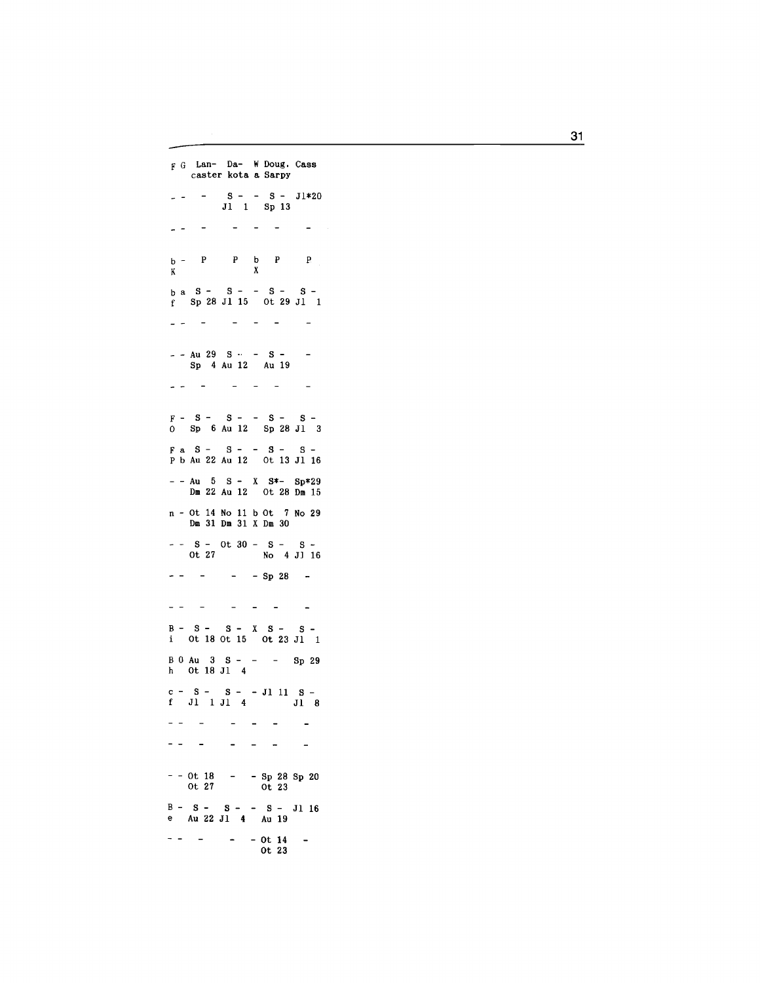F G Lan- Da- W Doug. Cass caster kota a Sarpy  $S - - S - J1*20$ Jl Sp 13  $\sim$  $\sim$   $\sim$   $\sim$  $\sim$ 2 H p b - p p b p x  $\mathbf K$ b a S - S - - S - S - <sup>f</sup>Sp 28 Jl 15 Ot 29 Jl كالمستحاك والمناجي  $\blacksquare$  $-$  Au 29 S  $\cdot$   $-$  S  $-$ Sp 4 Au 12 Au 19 المناسب المستنقلة المناصر  $\sim$   $F - S - S - - S$  $s -$ Jl 3 0 Sp 6 Au 12 Sp 28  $F \text{ a } S - S - S - S - S$ p b Au 22 Au 12 Ot 13 Jl 16  $-$  - Au 5 S - X S \*- S p \* 29 Dm 22 Au 12 Ot 28 Dm 15 n - Ot 14 No 11 b Ot 7 No 29 Dm 31 Dm 31 X Dm 30 S - Ot 30 - S - S - Ot 27 No 4 Jl 16  $- - - - - -$  Sp 28 - $\omega_{\rm c} = 1.5$  and  $\omega_{\rm c}$  $\mathcal{L}^{\mathcal{A}}$  ,  $\mathcal{L}^{\mathcal{A}}$  ,  $\mathcal{L}^{\mathcal{A}}$  ,  $\mathcal{L}^{\mathcal{A}}$ B - S - S - X S - S - Ot 18 Ot 15 Ot 23 Jl 1 B 0 Au 3 S - - Sp 29 h Ot 18 Jl 4 c -  $S - S - - J1$  11  $S$ f  $J1$   $J1$   $4$   $J1$   $J1$  8  $\omega_{\rm c}$  and  $\omega_{\rm c}$  $\mathcal{L}_{\text{max}}$  and  $\mathcal{L}_{\text{max}}$  $\mathcal{L}^{\text{max}}$  , where  $\mathcal{L}^{\text{max}}$  $\sim$  $\frac{1}{2} \left( \frac{1}{2} \right) \left( \frac{1}{2} \right) \left( \frac{1}{2} \right) \left( \frac{1}{2} \right)$  $\mathcal{L}(\mathcal{L})$  , and  $\mathcal{L}(\mathcal{L})$  $\sim$ - - Ot 18 Ot 27 - Sp 28 Sp 20 Ot 23  $B - S - S - - S - J1$  16 e Au 22 Jl 4 Au 19  $\sim 10^{-1}$  km s  $^{-1}$  $-$  0t 14  $\sim$ Ot 23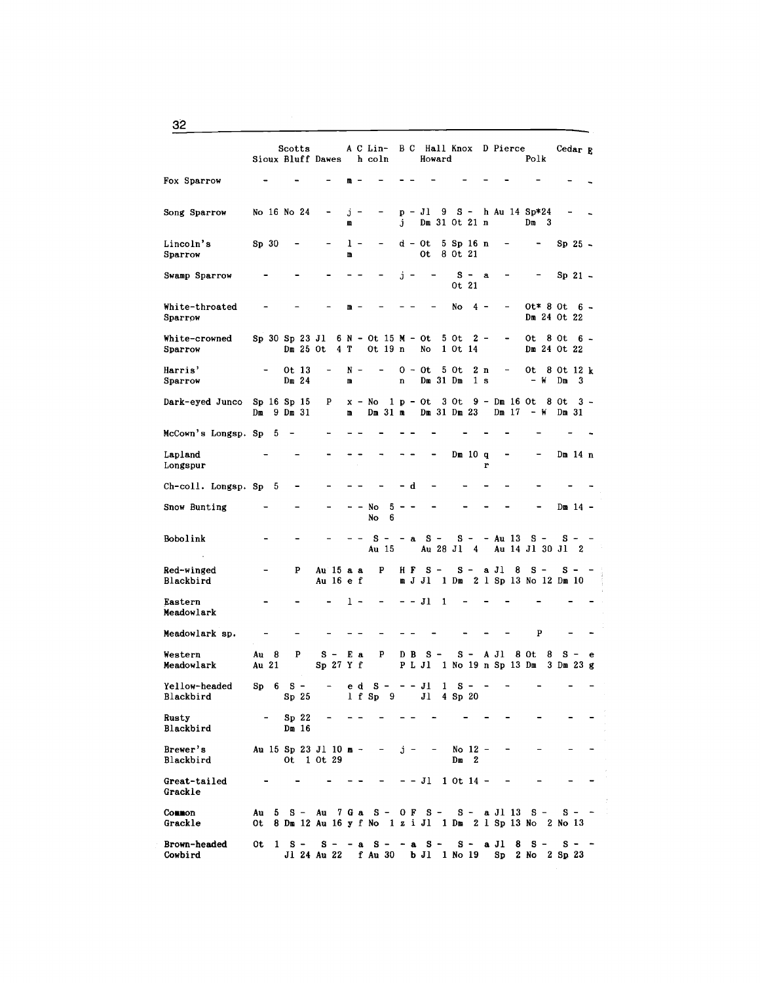|                            | Sioux Bluff Dawes     |    | Scotts                    |          |            |                              |        |     | A C Lin- B C Hall Knox D Pierce<br>h coln                                                               |        |     |              | Howard             |                      |                             |                       |               |   | Polk                                        |                 | Cedar $\mathbb{R}$ |     |
|----------------------------|-----------------------|----|---------------------------|----------|------------|------------------------------|--------|-----|---------------------------------------------------------------------------------------------------------|--------|-----|--------------|--------------------|----------------------|-----------------------------|-----------------------|---------------|---|---------------------------------------------|-----------------|--------------------|-----|
| Fox Sparrow                |                       |    |                           |          |            |                              |        |     |                                                                                                         |        |     |              |                    |                      |                             |                       |               |   |                                             |                 |                    |     |
| Song Sparrow               | No 16 No 24           |    |                           |          |            |                              | Ĵ<br>m |     |                                                                                                         | Ĵ      |     | $p - Jl$     | 9<br>Dm 31 Ot 21 n |                      |                             |                       |               |   | $S - h$ Au 14 Sp*24<br>$Dm = 3$             |                 |                    |     |
| Lincoln's<br>Sparrow       | Sp <sub>30</sub>      |    |                           |          |            |                              | m      | 1 - |                                                                                                         |        |     | d - Ot<br>0t |                    | 5 Sp 16 n<br>8 Ot 21 |                             |                       |               |   |                                             |                 | $Sp25$ -           |     |
| Swamp Sparrow              |                       |    |                           |          |            |                              |        |     |                                                                                                         |        | j - |              |                    | 0t 21                | $s -$                       | a                     |               |   |                                             |                 | Sp 21 -            |     |
| White-throated<br>Sparrow  |                       |    |                           |          |            |                              | m      |     |                                                                                                         |        |     |              |                    | No                   |                             | $4 -$                 |               |   | $0t * 80t 6 -$<br>Dm 24 Ot 22               |                 |                    |     |
| White-crowned<br>Sparrow   | Sp 30 Sp 23 Jl        |    |                           | Dm 25 Ot |            |                              | 4 T    |     | 6 N - Ot 15 M - Ot<br>Ot 19 n                                                                           |        |     | No           |                    | 5 Ot<br>1 Ot 14      |                             | $2 -$                 | -             |   | 0t<br>Dm 24 Ot 22                           | 8 Ot            |                    | 6 – |
| Harris'<br>Sparrow         |                       |    | Ot 13<br>Dm <sub>24</sub> |          |            |                              | N<br>m |     |                                                                                                         | n      |     | 0 - 0t       | Dm 31 Dm           | 5 Ot                 |                             | 2 n<br>1 <sub>s</sub> |               |   | 0t.<br>– W                                  | 8 Ot 12 k<br>Dm | 3                  |     |
| Dark-eyed Junco            | Sp 16 Sp 15<br>Dш     |    | $9$ Dm $31$               |          |            | P                            | m      |     | $x - No$<br>Dm 31 m                                                                                     |        |     | $1 p - 0t$   | $Dm$ 31 $Dm$ 23    | 3 Ot                 |                             |                       | $Dm$ 17       |   | $9 - Dm 16$ Ot 8 Ot<br>– W                  | Dm 31           |                    | 3 – |
| McCown's Longsp. Sp        |                       | 5  |                           |          |            |                              |        |     |                                                                                                         |        |     |              |                    |                      |                             |                       |               |   |                                             |                 |                    |     |
| Lapland<br>Longspur        |                       |    |                           |          |            |                              |        |     |                                                                                                         |        |     |              |                    |                      | Dm 10 q                     | r                     |               |   |                                             |                 | Dm 14 n            |     |
| Ch-coll. Longsp. Sp        |                       | 5  |                           |          |            |                              |        |     |                                                                                                         |        | d   |              |                    |                      |                             |                       |               |   |                                             |                 |                    |     |
| Snow Bunting               |                       |    |                           |          |            |                              |        |     | No<br>No                                                                                                | 5<br>6 |     |              |                    |                      |                             |                       |               |   |                                             |                 | $Dm 14 -$          |     |
| Bobolink                   |                       |    |                           |          |            |                              |        |     | s<br>Au 15                                                                                              |        | — а |              | $S -$<br>Au 28 Jl  |                      | $\frac{4}{3}$               |                       | $S - - Au$ 13 |   | s –<br>Au 14 Jl 30 Jl 2                     | s -             |                    |     |
| Red-winged<br>Blackbird    |                       |    | P                         |          |            | Au 15 a a<br>Au 16 e f       |        |     | P                                                                                                       |        | H F | m J J1       | $S -$              |                      | $S -$                       |                       | a Jl          | 8 | $S -$<br>1 Dm 2 1 Sp 13 No 12 Dm 10         | S.              |                    |     |
| Eastern<br>Meadowlark      |                       |    |                           |          |            |                              |        | 1 - |                                                                                                         |        |     | – – Jl       | 1                  |                      |                             |                       |               |   |                                             |                 |                    |     |
| Meadowlark sp.             |                       |    |                           |          |            |                              |        |     |                                                                                                         |        |     |              |                    |                      |                             |                       |               |   | P                                           |                 |                    |     |
| Western<br>Meadowlark      | Au<br>Au 21           | 8  | P                         |          |            | $s -$<br>Sp <sub>27</sub> Yf |        | Eа  | P                                                                                                       | D      | B   | PL J1        | s –                |                      | s –                         |                       |               |   | A J1 8 Ot 8<br>1 No 19 n Sp 13 Dm 3 Dm 23 g | s –             |                    | е   |
| Yellow-headed<br>Blackbird | Sp                    | 6  | s –<br>Sp <sub>25</sub>   |          |            |                              |        | e d | s –<br>1 f Sp 9                                                                                         |        |     | JI           | 1<br>$J1$ 4 Sp 20  | s                    |                             |                       |               |   |                                             |                 |                    |     |
| Rusty<br>Blackbird         |                       |    | Sp <sub>22</sub><br>Dm 16 |          |            |                              |        |     |                                                                                                         |        |     |              |                    |                      |                             |                       |               |   |                                             |                 |                    |     |
| Brewer's<br>Blackbird      | Au 15 Sp 23 Jl 10 m - |    |                           |          | 0t 1 0t 29 |                              |        |     | $\qquad \qquad \blacksquare$                                                                            |        | j - |              |                    | Dm                   | No 12 -<br>$\boldsymbol{2}$ |                       |               |   |                                             |                 |                    |     |
| Great-tailed<br>Grackle    |                       |    |                           |          |            |                              |        |     |                                                                                                         |        |     |              | $- - J1$ 1 Ot 14 - |                      |                             |                       |               |   |                                             |                 |                    |     |
| <b>Common</b><br>Grackle   | Au<br>0t.             | 5. |                           |          |            |                              |        |     | S - Au 7 G a S - O F S - S - a Jl 13 S - S -<br>8 Dm 12 Au 16 y f No 1 z i Jl 1 Dm 2 l Sp 13 No 2 No 13 |        |     |              |                    |                      |                             |                       |               |   |                                             |                 |                    |     |
| Brown-headed<br>Cowbird    | 0t.                   |    |                           |          |            |                              |        |     | 1 S - S - -a S - -a S - S - a J1 8 S - S -<br>J1 24 Au 22 f Au 30 b J1 1 No 19 Sp 2 No 2 Sp 23          |        |     |              |                    |                      |                             |                       |               |   |                                             |                 |                    |     |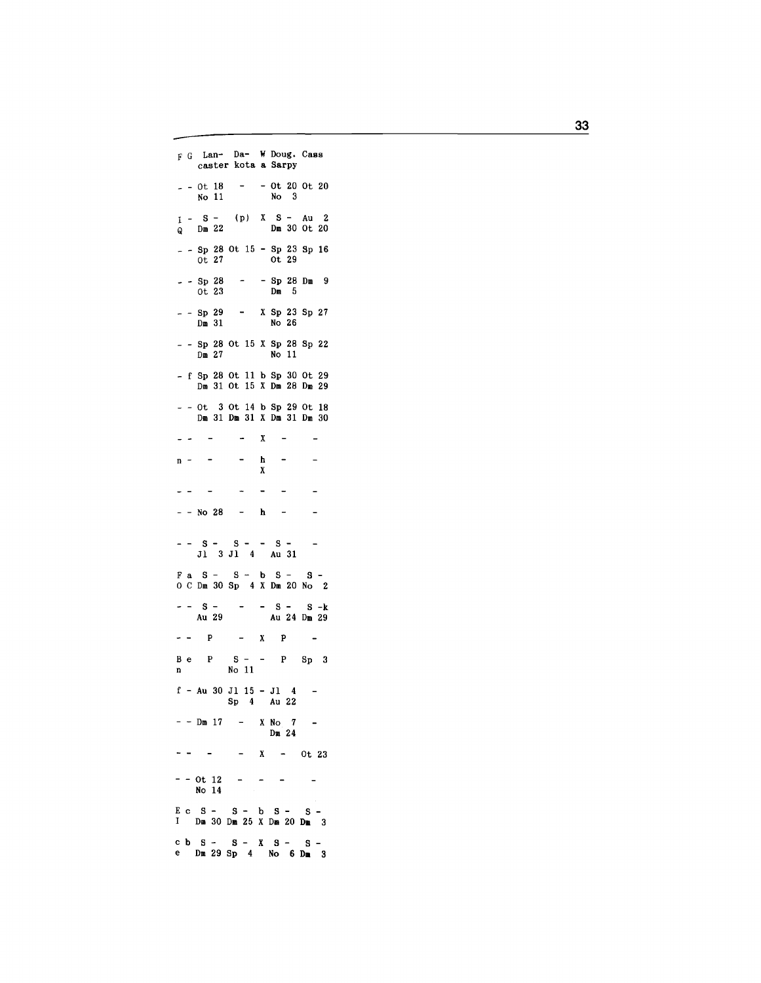F G Lan- Da- W Doug. Cass caster kota a Sarpy  $-$  - 0t 18  $-$  - 0t 20 0t 20<br>No 11 No 3  $I - S - (p)$  X S - Au 2<br>Q Dm 22 Dm 30 Ot 20  $-$  - Sp 28 Ot 15 - Sp 23 Sp 16<br>Ot 27 Ot 29  $0t$  27  $-$  - Sp 28 - - Sp 28 Dm 9<br>0t 23 Dm 5  $-$  - Sp 29 - X Sp 23 Sp 27<br>
Dm 31 No 26  $N_{\rm O}$  26  $Dm$  31  $-$  - Sp 28 Ot 15 X Sp 28 Sp 22  $Dm 27$  $No$  11  $- f$  Sp 28 Ot 11 b Sp 30 Ot 29 Dm 31 Ot 15 X Dm 28 Dm 29  $-$  - 0t 3 0t 14 b Sp 29 0t 18 Dm 31 Dm 31 X Dm 31 Dm 30  $\frac{1}{2} \left( \frac{1}{2} \right) = \frac{1}{2}$  $- X$  $\sim$  $\sim$  $\sim$   $\overline{a}$  $\mathbf h$  $n \mathbf{x}$  $\sim$  $\ddot{\phantom{1}}$  $\sim$  $\sim$  $\overline{a}$  $- -$  No 28 - h - $-$  -  $S$  -  $S$  - -  $S$  -<br>J1 3 J1 4 Au 31  $F$  a S - S - b S - S -O C Dm 30 Sp 4 X Dm 20 No 2  $-$  S -  $-$  S - S - k<br>Au 29 - Au 24 Dm 29  $B e P S - - P S p 3$ No 11  $\mathbf{n}$  $f - Au$  30 J1 15 - J1 4 -<br>Sp 4 Au 22  $-$  - Dm 17 - X No 7  $\sim$   $Dm<sub>24</sub>$  $- - - - X - 0t 23$  $- - 0t$  12  $- - - - - -$ No 14  $E c S - S - b S - S -$ I Dm 30 Dm 25 X Dm 20 Dm 3 c b  $S - S - X S - S -$ <br>e Dm 29 Sp 4 No 6 Dm 3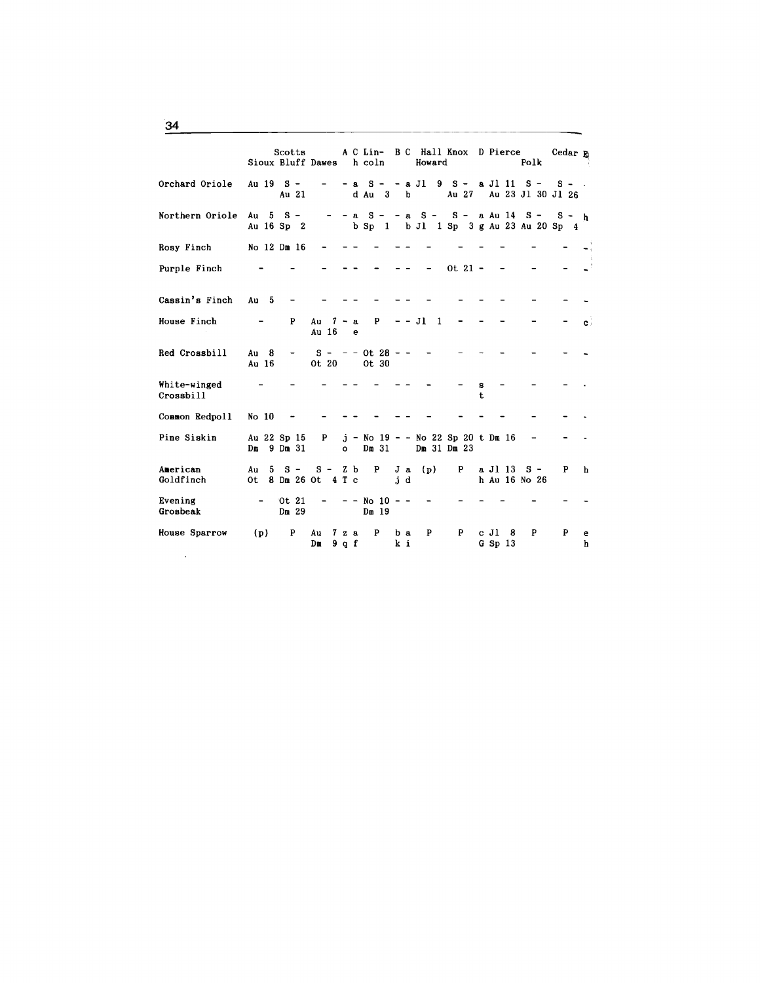|                           | Sioux Bluff Dawes h coln          | Scotts            |                     |                    |                                    |              |     | Howard              |                                       |                 |                     | A C Lin- B C Hall Knox D Pierce<br>Polk                                          | Cedar Fa |                |
|---------------------------|-----------------------------------|-------------------|---------------------|--------------------|------------------------------------|--------------|-----|---------------------|---------------------------------------|-----------------|---------------------|----------------------------------------------------------------------------------|----------|----------------|
| Orchard Oriole Au 19 S-   |                                   | Au 21             |                     |                    |                                    |              |     |                     |                                       |                 |                     | $- a S - - a J1 9 S - a J1 11 S - S - .$<br>d Au 3 b Au 27 Au 23 J1 30 J1 26     |          |                |
| Northern Oriole           | Au $5 S -$<br>Au 16 Sp 2          |                   |                     |                    |                                    |              |     |                     |                                       |                 |                     | $-$ a S - - a S - S - a Au 14 S - S - h<br>b Sp 1 b Jl 1 Sp 3 g Au 23 Au 20 Sp 4 |          |                |
| Rosy Finch                | No 12 Dm 16                       |                   |                     |                    |                                    |              |     |                     |                                       |                 |                     |                                                                                  |          |                |
| Purple Finch              |                                   |                   |                     |                    |                                    |              |     |                     | $0t$ 21 -                             |                 |                     |                                                                                  |          |                |
| Cassin's Finch Au 5       |                                   | $\qquad \qquad -$ |                     |                    |                                    |              |     |                     |                                       |                 |                     |                                                                                  |          |                |
| House Finch               |                                   | P                 | Au $7 - a$<br>Au 16 | e e                | P                                  |              |     | $- -$ J1 1          |                                       |                 |                     |                                                                                  |          | $\mathbf{c}$ : |
| Red Crossbill             | $Au$ 8<br>Au 16                   |                   |                     |                    | $S - - -$ 0t 28 - -<br>Ot 20 0t 30 |              |     |                     |                                       |                 |                     |                                                                                  |          |                |
| White-winged<br>Crossbill |                                   |                   |                     |                    |                                    |              |     |                     |                                       | s<br>$\ddagger$ |                     |                                                                                  |          |                |
| Common Redpoll            | No 10                             |                   |                     |                    |                                    |              |     |                     |                                       |                 |                     |                                                                                  |          |                |
| Pine Siskin               | Au 22 Sp 15<br>$Dm$ 9 $Dm$ 31     |                   |                     |                    |                                    |              |     | o Dm 31 Dm 31 Dm 23 | P $j - No$ 19 - - No 22 Sp 20 t Dm 16 |                 |                     | $\overline{\phantom{a}}$                                                         |          |                |
| American<br>Goldfinch     | Au<br>5.<br>Ot 8 Dm 26 Ot 4 T $c$ | $S -$             |                     |                    | $S - Z b$ P                        | J a<br>$j$ d |     | (p)                 |                                       |                 |                     | P a J1 13 S –<br>h Au 16 No 26                                                   | P        | h              |
| Evening<br>Grosbeak       | $\sim$                            | Ot 21<br>Dm 29    |                     |                    | $- -$ No 10 - -<br>Dm 19           |              |     |                     |                                       |                 |                     |                                                                                  |          |                |
| House Sparrow<br>$\cdot$  | (p)                               | P<br>Au<br>Dm     |                     | $7\,$ z a<br>9 q f | P                                  | k i          | b a | P                   | P                                     |                 | cJ18<br>$G$ Sp $13$ | P                                                                                | P        | е<br>h         |